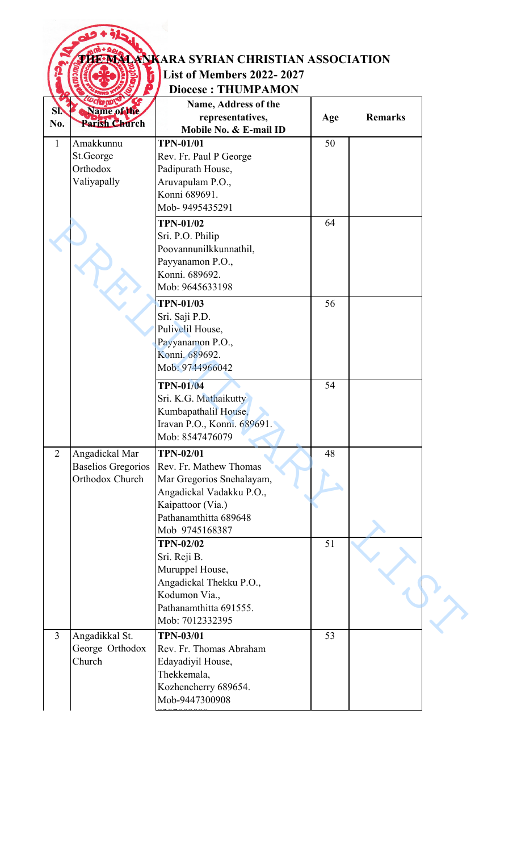|                |                                                                | <b>ENNAMINKARA SYRIAN CHRISTIAN ASSOCIATION</b><br><b>List of Members 2022-2027</b><br><b>Diocese: THUMPAMON</b>                                                    |     |                |
|----------------|----------------------------------------------------------------|---------------------------------------------------------------------------------------------------------------------------------------------------------------------|-----|----------------|
| SI.<br>No.     | Name of the<br><b>Parish Church</b>                            | Name, Address of the<br>representatives,<br>Mobile No. & E-mail ID                                                                                                  | Age | <b>Remarks</b> |
| $\mathbf{1}$   | Amakkunnu<br>St.George<br>Orthodox<br>Valiyapally              | <b>TPN-01/01</b><br>Rev. Fr. Paul P George<br>Padipurath House,<br>Aruvapulam P.O.,<br>Konni 689691.<br>Mob-9495435291                                              | 50  |                |
|                |                                                                | <b>TPN-01/02</b><br>Sri. P.O. Philip<br>Poovannunilkkunnathil,<br>Payyanamon P.O.,<br>Konni. 689692.<br>Mob: 9645633198                                             | 64  |                |
|                |                                                                | <b>TPN-01/03</b><br>Sri. Saji P.D.<br>Pulivelil House,<br>Payyanamon P.O.,<br>Konni. 689692.<br>Mob: 9744966042                                                     | 56  |                |
|                |                                                                | <b>TPN-01/04</b><br>Sri. K.G. Mathaikutty<br>Kumbapathalil House,<br>Iravan P.O., Konni. 689691.<br>Mob: 8547476079                                                 | 54  |                |
| $\overline{2}$ | Angadickal Mar<br><b>Baselios Gregorios</b><br>Orthodox Church | <b>TPN-02/01</b><br>Rev. Fr. Mathew Thomas<br>Mar Gregorios Snehalayam,<br>Angadickal Vadakku P.O.,<br>Kaipattoor (Via.)<br>Pathanamthitta 689648<br>Mob 9745168387 | 48  |                |
|                |                                                                | <b>TPN-02/02</b><br>Sri. Reji B.<br>Muruppel House,<br>Angadickal Thekku P.O.,<br>Kodumon Via.,<br>Pathanamthitta 691555.<br>Mob: 7012332395                        | 51  |                |
| $\overline{3}$ | Angadikkal St.<br>George Orthodox<br>Church                    | <b>TPN-03/01</b><br>Rev. Fr. Thomas Abraham<br>Edayadiyil House,<br>Thekkemala,<br>Kozhencherry 689654.<br>Mob-9447300908                                           | 53  |                |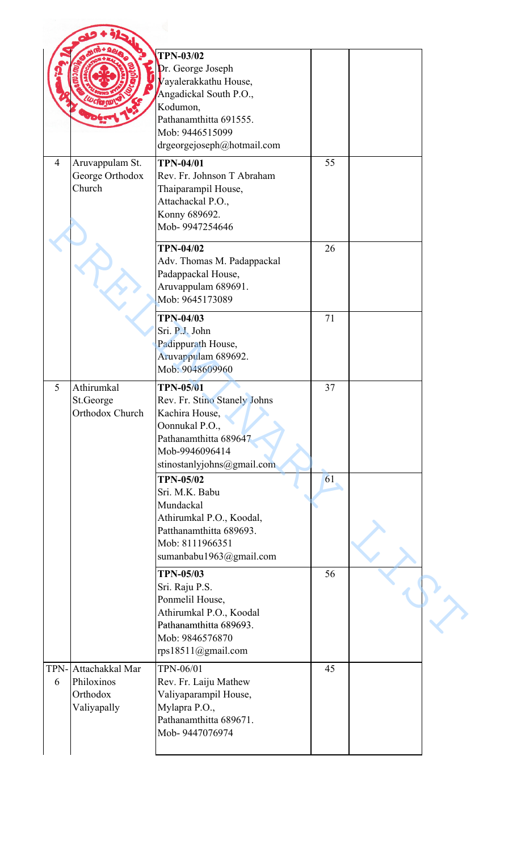|                |                                                          | <b>TPN-03/02</b><br>Dr. George Joseph<br>Vayalerakkathu House,<br>Angadickal South P.O.,<br>Kodumon,<br>Pathanamthitta 691555.<br>Mob: 9446515099<br>drgeorgejoseph@hotmail.com |    |  |
|----------------|----------------------------------------------------------|---------------------------------------------------------------------------------------------------------------------------------------------------------------------------------|----|--|
| $\overline{4}$ | Aruvappulam St.<br>George Orthodox<br>Church             | <b>TPN-04/01</b><br>Rev. Fr. Johnson T Abraham<br>Thaiparampil House,<br>Attachackal P.O.,<br>Konny 689692.<br>Mob-9947254646                                                   | 55 |  |
|                |                                                          | <b>TPN-04/02</b><br>Adv. Thomas M. Padappackal<br>Padappackal House,<br>Aruvappulam 689691.<br>Mob: 9645173089                                                                  | 26 |  |
|                |                                                          | <b>TPN-04/03</b><br>Sri. P.J. John<br>Padippurath House,<br>Aruvappulam 689692.<br>Mob: 9048609960                                                                              | 71 |  |
| 5              | Athirumkal<br>St.George<br>Orthodox Church               | <b>TPN-05/01</b><br>Rev. Fr. Stino Stanely Johns<br>Kachira House,<br>Oonnukal P.O.,<br>Pathanamthitta 689647<br>Mob-9946096414<br>stinostanlyjohns@gmail.com                   | 37 |  |
|                |                                                          | <b>TPN-05/02</b><br>Sri. M.K. Babu<br>Mundackal<br>Athirumkal P.O., Koodal,<br>Patthanamthitta 689693.<br>Mob: 8111966351<br>sumanbabu1963@gmail.com                            | 61 |  |
|                |                                                          | <b>TPN-05/03</b><br>Sri. Raju P.S.<br>Ponmelil House,<br>Athirumkal P.O., Koodal<br>Pathanamthitta 689693.<br>Mob: 9846576870<br>rps18511@gmail.com                             | 56 |  |
| TPN-<br>6      | Attachakkal Mar<br>Philoxinos<br>Orthodox<br>Valiyapally | TPN-06/01<br>Rev. Fr. Laiju Mathew<br>Valiyaparampil House,<br>Mylapra P.O.,<br>Pathanamthitta 689671.<br>Mob-9447076974                                                        | 45 |  |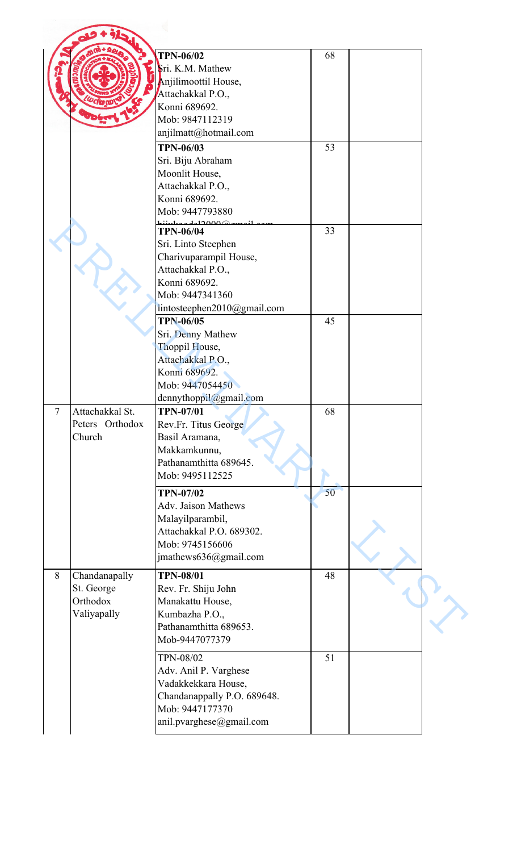|                |                 | <b>TPN-06/02</b>                       | 68 |  |
|----------------|-----------------|----------------------------------------|----|--|
|                |                 | Sri. K.M. Mathew                       |    |  |
|                |                 | Anjilimoottil House,                   |    |  |
|                |                 | Attachakkal P.O.,                      |    |  |
|                |                 | Konni 689692.                          |    |  |
|                |                 | Mob: 9847112319                        |    |  |
|                |                 | anjilmatt@hotmail.com                  |    |  |
|                |                 | <b>TPN-06/03</b>                       | 53 |  |
|                |                 | Sri. Biju Abraham                      |    |  |
|                |                 | Moonlit House,                         |    |  |
|                |                 | Attachakkal P.O.,                      |    |  |
|                |                 | Konni 689692.                          |    |  |
|                |                 | Mob: 9447793880                        |    |  |
|                |                 | ഥറാരക<br><b>TPN-06/04</b>              | 33 |  |
|                |                 | Sri. Linto Steephen                    |    |  |
|                |                 | Charivuparampil House,                 |    |  |
|                |                 | Attachakkal P.O.,                      |    |  |
|                |                 | Konni 689692.                          |    |  |
|                |                 | Mob: 9447341360                        |    |  |
|                |                 | lintosteephen2010@gmail.com            |    |  |
|                |                 | <b>TPN-06/05</b>                       | 45 |  |
|                |                 | Sri. Denny Mathew                      |    |  |
|                |                 | Thoppil House,                         |    |  |
|                |                 | Attachakkal P.O.,                      |    |  |
|                |                 | Konni 689692.                          |    |  |
|                |                 | Mob: 9447054450                        |    |  |
|                |                 | dennythoppil@gmail.com                 |    |  |
| $\overline{7}$ | Attachakkal St. | <b>TPN-07/01</b>                       | 68 |  |
|                | Peters Orthodox | Rev.Fr. Titus George                   |    |  |
|                | Church          | Basil Aramana,                         |    |  |
|                |                 | Makkamkunnu,<br>Pathanamthitta 689645. |    |  |
|                |                 | Mob: 9495112525                        |    |  |
|                |                 |                                        |    |  |
|                |                 | <b>TPN-07/02</b>                       | 50 |  |
|                |                 | <b>Adv. Jaison Mathews</b>             |    |  |
|                |                 | Malayilparambil,                       |    |  |
|                |                 | Attachakkal P.O. 689302.               |    |  |
|                |                 | Mob: 9745156606                        |    |  |
|                |                 | jmathews636@gmail.com                  |    |  |
| 8              | Chandanapally   | <b>TPN-08/01</b>                       | 48 |  |
|                | St. George      | Rev. Fr. Shiju John                    |    |  |
|                | Orthodox        | Manakattu House,                       |    |  |
|                | Valiyapally     | Kumbazha P.O.,                         |    |  |
|                |                 | Pathanamthitta 689653.                 |    |  |
|                |                 | Mob-9447077379                         |    |  |
|                |                 | <b>TPN-08/02</b>                       | 51 |  |
|                |                 | Adv. Anil P. Varghese                  |    |  |
|                |                 | Vadakkekkara House,                    |    |  |
|                |                 | Chandanappally P.O. 689648.            |    |  |
|                |                 | Mob: 9447177370                        |    |  |
|                |                 | anil.pvarghese@gmail.com               |    |  |
|                |                 |                                        |    |  |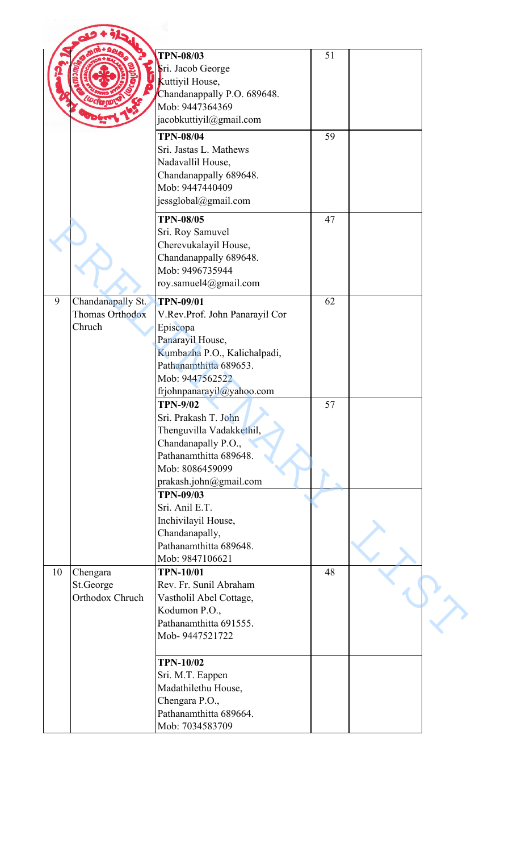|    |                                                | <b>TPN-08/03</b><br>Sri. Jacob George<br>Kuttiyil House,<br>Chandanappally P.O. 689648.<br>Mob: 9447364369<br>jacobkuttiyil@gmail.com                                                        | 51 |  |
|----|------------------------------------------------|----------------------------------------------------------------------------------------------------------------------------------------------------------------------------------------------|----|--|
|    |                                                | <b>TPN-08/04</b><br>Sri. Jastas L. Mathews<br>Nadavallil House,<br>Chandanappally 689648.<br>Mob: 9447440409<br>jessglobal@gmail.com                                                         | 59 |  |
|    |                                                | <b>TPN-08/05</b><br>Sri. Roy Samuvel<br>Cherevukalayil House,<br>Chandanappally 689648.<br>Mob: 9496735944<br>roy.samuel4@gmail.com                                                          | 47 |  |
| 9  | Chandanapally St.<br>Thomas Orthodox<br>Chruch | <b>TPN-09/01</b><br>V.Rev.Prof. John Panarayil Cor<br>Episcopa<br>Panarayil House,<br>Kumbazha P.O., Kalichalpadi,<br>Pathanamthitta 689653.<br>Mob: 9447562522<br>frjohnpanarayil@yahoo.com | 62 |  |
|    |                                                | <b>TPN-9/02</b><br>Sri. Prakash T. John<br>Thenguvilla Vadakkethil,<br>Chandanapally P.O.,<br>Pathanamthitta 689648.<br>Mob: 8086459099<br>prakash.john@gmail.com                            | 57 |  |
|    |                                                | <b>TPN-09/03</b><br>Sri. Anil E.T.<br>Inchivilayil House,<br>Chandanapally,<br>Pathanamthitta 689648.<br>Mob: 9847106621                                                                     |    |  |
| 10 | Chengara<br>St.George<br>Orthodox Chruch       | <b>TPN-10/01</b><br>Rev. Fr. Sunil Abraham<br>Vastholil Abel Cottage,<br>Kodumon P.O.,<br>Pathanamthitta 691555.<br>Mob-9447521722                                                           | 48 |  |
|    |                                                | <b>TPN-10/02</b><br>Sri. M.T. Eappen<br>Madathilethu House,<br>Chengara P.O.,<br>Pathanamthitta 689664.<br>Mob: 7034583709                                                                   |    |  |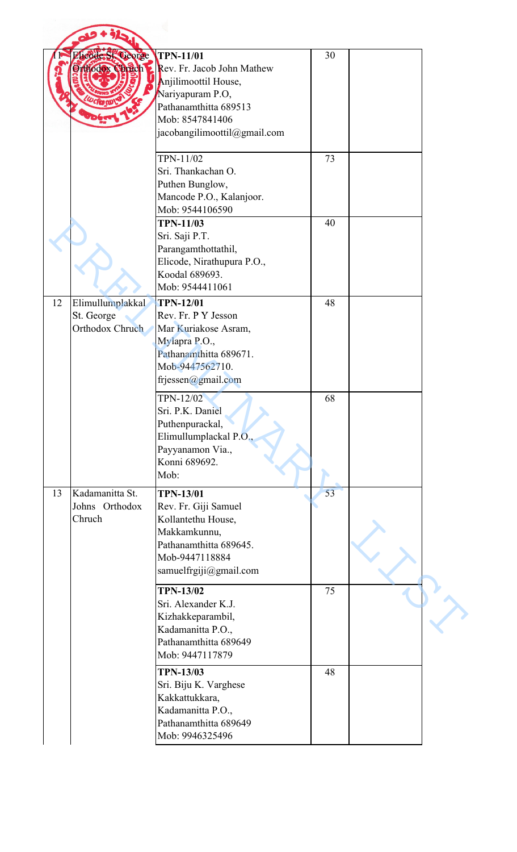|    | <b>Elicode St. George</b><br>Orthodox Chrich      | <b>TPN-11/01</b><br><b>Rev.</b> Fr. Jacob John Mathew<br>Anjilimoottil House,<br>Nariyapuram P.O,<br>Pathanamthitta 689513<br>Mob: 8547841406<br>jacobangilimoottil@gmail.com | 30 |  |
|----|---------------------------------------------------|-------------------------------------------------------------------------------------------------------------------------------------------------------------------------------|----|--|
|    |                                                   | TPN-11/02<br>Sri. Thankachan O.<br>Puthen Bunglow,<br>Mancode P.O., Kalanjoor.<br>Mob: 9544106590                                                                             | 73 |  |
|    |                                                   | <b>TPN-11/03</b><br>Sri. Saji P.T.<br>Parangamthottathil,<br>Elicode, Nirathupura P.O.,<br>Koodal 689693.<br>Mob: 9544411061                                                  | 40 |  |
| 12 | Elimullumplakkal<br>St. George<br>Orthodox Chruch | <b>TPN-12/01</b><br>Rev. Fr. P Y Jesson<br>Mar Kuriakose Asram,<br>Mylapra P.O.,<br>Pathanamthitta 689671.<br>Mob-9447562710.<br>frjessen@gmail.com                           | 48 |  |
|    |                                                   | TPN-12/02<br>Sri. P.K. Daniel<br>Puthenpurackal,<br>Elimullumplackal P.O.,<br>Payyanamon Via.,<br>Konni 689692.<br>Mob:                                                       | 68 |  |
| 13 | Kadamanitta St.<br>Johns Orthodox<br>Chruch       | <b>TPN-13/01</b><br>Rev. Fr. Giji Samuel<br>Kollantethu House,<br>Makkamkunnu,<br>Pathanamthitta 689645.<br>Mob-9447118884<br>samuelfrgiji@gmail.com                          | 53 |  |
|    |                                                   | <b>TPN-13/02</b><br>Sri. Alexander K.J.<br>Kizhakkeparambil,<br>Kadamanitta P.O.,<br>Pathanamthitta 689649<br>Mob: 9447117879                                                 | 75 |  |
|    |                                                   | <b>TPN-13/03</b><br>Sri. Biju K. Varghese<br>Kakkattukkara,<br>Kadamanitta P.O.,<br>Pathanamthitta 689649<br>Mob: 9946325496                                                  | 48 |  |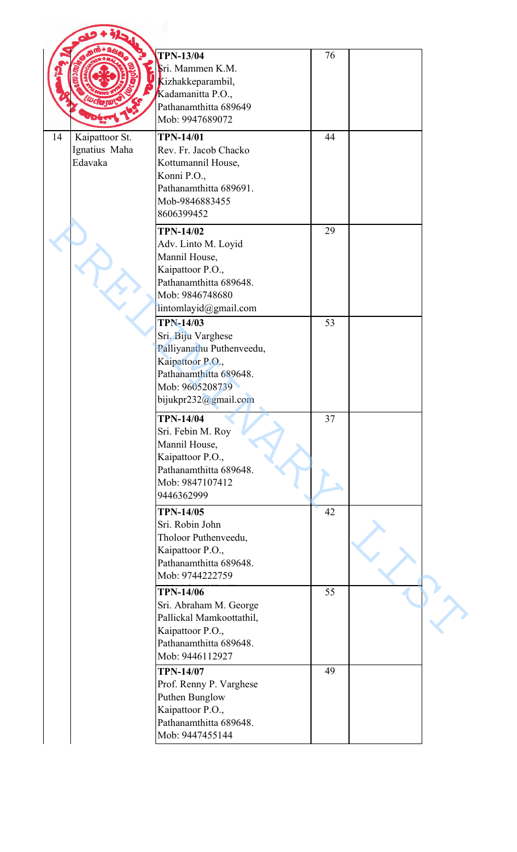|                                                  | <b>TPN-13/04</b><br>Sri. Mammen K.M.<br>Kizhakkeparambil,<br>Kadamanitta P.O.,<br>Pathanamthitta 689649<br>Mob: 9947689072                                   | 76 |  |
|--------------------------------------------------|--------------------------------------------------------------------------------------------------------------------------------------------------------------|----|--|
| 14<br>Kaipattoor St.<br>Ignatius Maha<br>Edavaka | <b>TPN-14/01</b><br>Rev. Fr. Jacob Chacko<br>Kottumannil House,<br>Konni P.O.,<br>Pathanamthitta 689691.<br>Mob-9846883455<br>8606399452                     | 44 |  |
|                                                  | <b>TPN-14/02</b><br>Adv. Linto M. Loyid<br>Mannil House,<br>Kaipattoor P.O.,<br>Pathanamthitta 689648.<br>Mob: 9846748680<br>lintomlayid@gmail.com           | 29 |  |
|                                                  | <b>TPN-14/03</b><br>Sri. Biju Varghese<br>Palliyanathu Puthenveedu,<br>Kaipattoor P.O.,<br>Pathanamthitta 689648.<br>Mob: 9605208739<br>bijukpr232@gmail.com | 53 |  |
|                                                  | <b>TPN-14/04</b><br>Sri. Febin M. Roy<br>Mannil House,<br>Kaipattoor P.O.,<br>Pathanamthitta 689648.<br>Mob: 9847107412<br>9446362999                        | 37 |  |
|                                                  | <b>TPN-14/05</b><br>Sri. Robin John<br>Tholoor Puthenveedu,<br>Kaipattoor P.O.,<br>Pathanamthitta 689648.<br>Mob: 9744222759                                 | 42 |  |
|                                                  | <b>TPN-14/06</b><br>Sri. Abraham M. George<br>Pallickal Mamkoottathil,<br>Kaipattoor P.O.,<br>Pathanamthitta 689648.<br>Mob: 9446112927                      | 55 |  |
|                                                  | <b>TPN-14/07</b><br>Prof. Renny P. Varghese<br>Puthen Bunglow<br>Kaipattoor P.O.,<br>Pathanamthitta 689648.<br>Mob: 9447455144                               | 49 |  |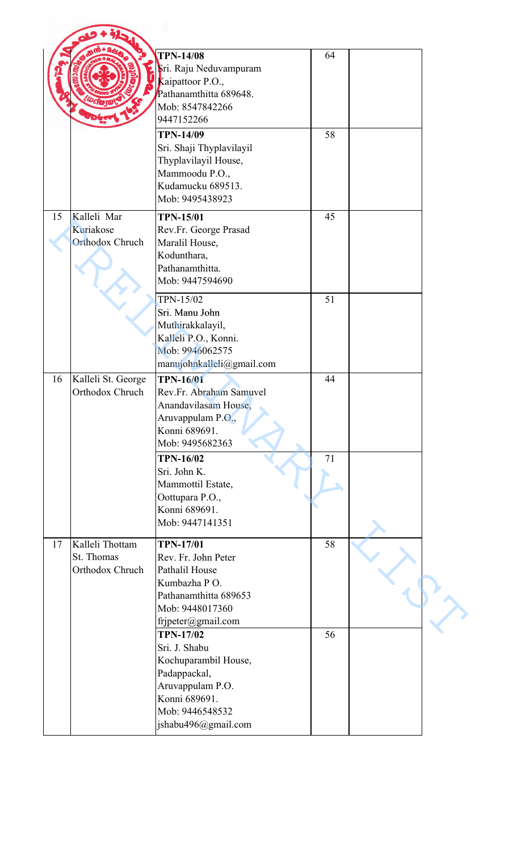|    |                                                    | <b>TPN-14/08</b><br>Sri. Raju Neduvampuram<br>Kaipattoor P.O.,<br>Pathanamthitta 689648.<br>Mob: 8547842266<br>9447152266<br><b>TPN-14/09</b><br>Sri. Shaji Thyplavilayil<br>Thyplavilayil House,<br>Mammoodu P.O.,<br>Kudamucku 689513. | 64<br>58 |  |
|----|----------------------------------------------------|------------------------------------------------------------------------------------------------------------------------------------------------------------------------------------------------------------------------------------------|----------|--|
| 15 | Kalleli Mar<br>Kuriakose<br><b>Orthodox Chruch</b> | Mob: 9495438923<br><b>TPN-15/01</b><br>Rev.Fr. George Prasad<br>Maralil House,<br>Kodunthara,<br>Pathanamthitta.<br>Mob: 9447594690                                                                                                      | 45       |  |
|    |                                                    | TPN-15/02<br>Sri. Manu John<br>Muthirakkalayil,<br>Kalleli P.O., Konni.<br>Mob: 9946062575<br>manujohnkalleli@gmail.com                                                                                                                  | 51       |  |
| 16 | Kalleli St. George<br>Orthodox Chruch              | <b>TPN-16/01</b><br>Rev.Fr. Abraham Samuvel<br>Anandavilasam House,<br>Aruvappulam P.O.,<br>Konni 689691.<br>Mob: 9495682363                                                                                                             | 44       |  |
|    |                                                    | <b>TPN-16/02</b><br>Sri. John K.<br>Mammottil Estate,<br>Oottupara P.O.,<br>Konni 689691.<br>Mob: 9447141351                                                                                                                             | 71       |  |
| 17 | Kalleli Thottam<br>St. Thomas<br>Orthodox Chruch   | <b>TPN-17/01</b><br>Rev. Fr. John Peter<br>Pathalil House<br>Kumbazha PO.<br>Pathanamthitta 689653<br>Mob: 9448017360<br>frjpeter@gmail.com                                                                                              | 58       |  |
|    |                                                    | <b>TPN-17/02</b><br>Sri. J. Shabu<br>Kochuparambil House,<br>Padappackal,<br>Aruvappulam P.O.<br>Konni 689691.<br>Mob: 9446548532<br>jshabu496@gmail.com                                                                                 | 56       |  |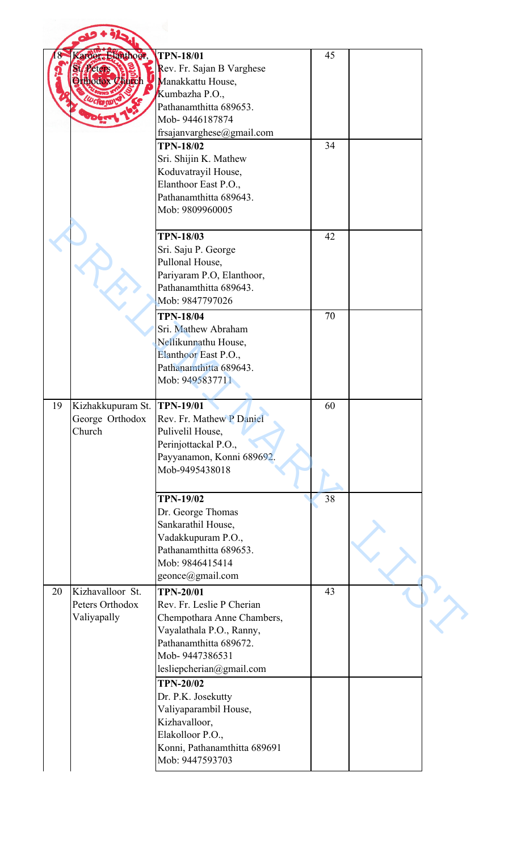|    | ardor, Hanthoor,<br><b>Peters</b><br><b>Orthodox Church</b> | <b>TPN-18/01</b><br>Rev. Fr. Sajan B Varghese<br>Manakkattu House,<br>Kumbazha P.O.,<br>Pathanamthitta 689653.<br>Mob-9446187874                                                | 45 |  |
|----|-------------------------------------------------------------|---------------------------------------------------------------------------------------------------------------------------------------------------------------------------------|----|--|
|    |                                                             | frsajanvarghese@gmail.com<br><b>TPN-18/02</b><br>Sri. Shijin K. Mathew<br>Koduvatrayil House,<br>Elanthoor East P.O.,<br>Pathanamthitta 689643.<br>Mob: 9809960005              | 34 |  |
|    |                                                             | <b>TPN-18/03</b><br>Sri. Saju P. George<br>Pullonal House,<br>Pariyaram P.O, Elanthoor,<br>Pathanamthitta 689643.<br>Mob: 9847797026                                            | 42 |  |
|    |                                                             | <b>TPN-18/04</b><br>Sri. Mathew Abraham<br>Nellikunnathu House,<br>Elanthoor East P.O.,<br>Pathanamthitta 689643.<br>Mob: 9495837711                                            | 70 |  |
| 19 | Kizhakkupuram St.<br>George Orthodox<br>Church              | <b>TPN-19/01</b><br>Rev. Fr. Mathew P Daniel<br>Pulivelil House,<br>Perinjottackal P.O.,<br>Payyanamon, Konni 689692.<br>Mob-9495438018                                         | 60 |  |
|    |                                                             | <b>TPN-19/02</b><br>Dr. George Thomas<br>Sankarathil House,<br>Vadakkupuram P.O.,<br>Pathanamthitta 689653.<br>Mob: 9846415414<br>geonce@gmail.com                              | 38 |  |
| 20 | Kizhavalloor St.<br>Peters Orthodox<br>Valiyapally          | <b>TPN-20/01</b><br>Rev. Fr. Leslie P Cherian<br>Chempothara Anne Chambers,<br>Vayalathala P.O., Ranny,<br>Pathanamthitta 689672.<br>Mob-9447386531<br>lesliepcherian@gmail.com | 43 |  |
|    |                                                             | <b>TPN-20/02</b><br>Dr. P.K. Josekutty<br>Valiyaparambil House,<br>Kizhavalloor,<br>Elakolloor P.O.,<br>Konni, Pathanamthitta 689691<br>Mob: 9447593703                         |    |  |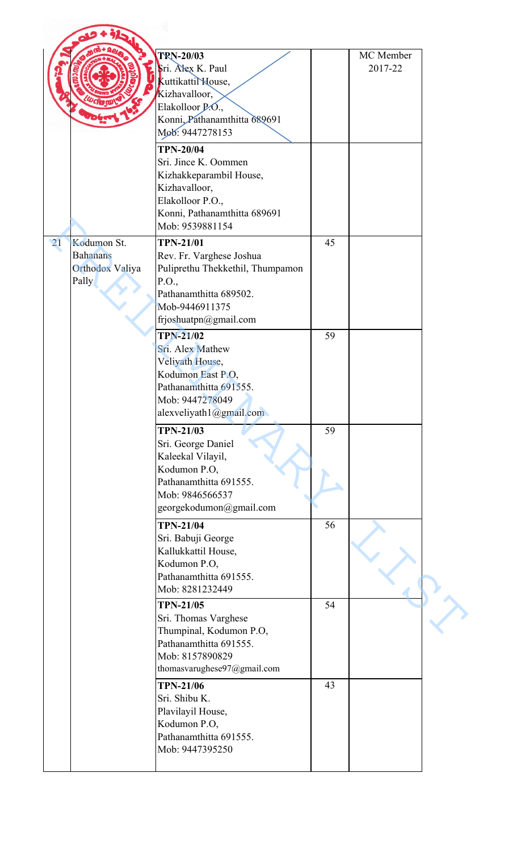|                                                                               | <b>TRN-20/03</b><br>Sri. Alex K. Paul<br>Kuttikattil House,<br>Kizhavalloor,<br>Elakolloor P.O.,<br>Konni, Pathanamthitta 689691<br>Mob: 9447278153            |    | MC Member<br>2017-22 |
|-------------------------------------------------------------------------------|----------------------------------------------------------------------------------------------------------------------------------------------------------------|----|----------------------|
|                                                                               | <b>TPN-20/04</b><br>Sri. Jince K. Oommen<br>Kizhakkeparambil House,<br>Kizhavalloor,<br>Elakolloor P.O.,<br>Konni, Pathanamthitta 689691<br>Mob: 9539881154    |    |                      |
| Kodumon St.<br>$\overline{21}$<br><b>Bahanans</b><br>Orthodox Valiya<br>Pally | <b>TPN-21/01</b><br>Rev. Fr. Varghese Joshua<br>Puliprethu Thekkethil, Thumpamon<br>P.O.,<br>Pathanamthitta 689502.<br>Mob-9446911375<br>frjoshuatpn@gmail.com | 45 |                      |
|                                                                               | <b>TPN-21/02</b><br>Sri. Alex Mathew<br>Veliyath House,<br>Kodumon East P.O,<br>Pathanamthitta 691555.<br>Mob: 9447278049<br>alexveliyath1@gmail.com           | 59 |                      |
|                                                                               | <b>TPN-21/03</b><br>Sri. George Daniel<br>Kaleekal Vilayil,<br>Kodumon P.O,<br>Pathanamthitta 691555.<br>Mob: 9846566537<br>georgekodumon@gmail.com            | 59 |                      |
|                                                                               | <b>TPN-21/04</b><br>Sri. Babuji George<br>Kallukkattil House,<br>Kodumon P.O,<br>Pathanamthitta 691555.<br>Mob: 8281232449                                     | 56 |                      |
|                                                                               | <b>TPN-21/05</b><br>Sri. Thomas Varghese<br>Thumpinal, Kodumon P.O,<br>Pathanamthitta 691555.<br>Mob: 8157890829<br>thomasvarughese97@gmail.com                | 54 |                      |
|                                                                               | <b>TPN-21/06</b><br>Sri. Shibu K.<br>Plavilayil House,<br>Kodumon P.O,<br>Pathanamthitta 691555.<br>Mob: 9447395250                                            | 43 |                      |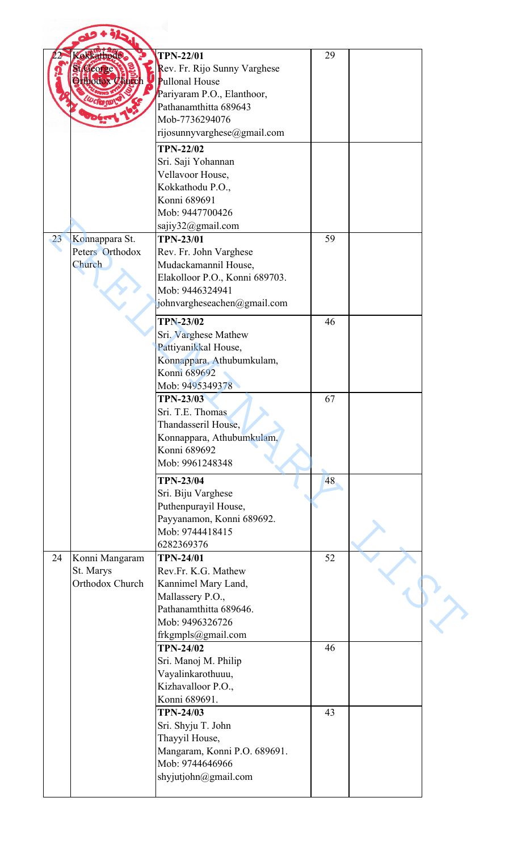| <b>sokkathode.</b><br><b>TPN-22/01</b><br>29<br>Rev. Fr. Rijo Sunny Varghese<br>St. George<br><b>Orthodox Church</b><br><b>Pullonal House</b> |  |
|-----------------------------------------------------------------------------------------------------------------------------------------------|--|
|                                                                                                                                               |  |
| Pariyaram P.O., Elanthoor,                                                                                                                    |  |
| <b>LW clear CU</b><br>Pathanamthitta 689643                                                                                                   |  |
| Mob-7736294076<br>rijosunnyvarghese@gmail.com                                                                                                 |  |
| <b>TPN-22/02</b>                                                                                                                              |  |
| Sri. Saji Yohannan                                                                                                                            |  |
| Vellavoor House,                                                                                                                              |  |
| Kokkathodu P.O.,<br>Konni 689691                                                                                                              |  |
| Mob: 9447700426                                                                                                                               |  |
| sajiy32@gmail.com<br><b>TPN-23/01</b>                                                                                                         |  |
| 59<br>Konnappara St.<br>23<br>Peters Orthodox<br>Rev. Fr. John Varghese                                                                       |  |
| Church<br>Mudackamannil House,                                                                                                                |  |
| Elakolloor P.O., Konni 689703.<br>Mob: 9446324941                                                                                             |  |
| johnvargheseachen@gmail.com                                                                                                                   |  |
| 46<br><b>TPN-23/02</b>                                                                                                                        |  |
| Sri. Varghese Mathew                                                                                                                          |  |
| Pattiyanikkal House,                                                                                                                          |  |
| Konnappara, Athubumkulam,<br>Konni 689692                                                                                                     |  |
| Mob: 9495349378                                                                                                                               |  |
| TPN-23/03<br>67<br>Sri. T.E. Thomas                                                                                                           |  |
| Thandasseril House,                                                                                                                           |  |
| Konnappara, Athubumkulam,                                                                                                                     |  |
| Konni 689692<br>Mob: 9961248348                                                                                                               |  |
| 48<br><b>TPN-23/04</b>                                                                                                                        |  |
| Sri. Biju Varghese                                                                                                                            |  |
| Puthenpurayil House,                                                                                                                          |  |
| Payyanamon, Konni 689692.<br>Mob: 9744418415                                                                                                  |  |
| 6282369376                                                                                                                                    |  |
| 52<br>Konni Mangaram<br>24<br><b>TPN-24/01</b>                                                                                                |  |
| St. Marys<br>Rev.Fr. K.G. Mathew<br>Orthodox Church<br>Kannimel Mary Land,                                                                    |  |
| Mallassery P.O.,                                                                                                                              |  |
| Pathanamthitta 689646.<br>Mob: 9496326726                                                                                                     |  |
| frkgmpls@gmail.com                                                                                                                            |  |
| <b>TPN-24/02</b><br>46                                                                                                                        |  |
| Sri. Manoj M. Philip<br>Vayalinkarothuuu,                                                                                                     |  |
| Kizhavalloor P.O.,                                                                                                                            |  |
| Konni 689691.                                                                                                                                 |  |
| <b>TPN-24/03</b><br>43<br>Sri. Shyju T. John                                                                                                  |  |
| Thayyil House,                                                                                                                                |  |
| Mangaram, Konni P.O. 689691.                                                                                                                  |  |
| Mob: 9744646966                                                                                                                               |  |
| shyjutjohn@gmail.com                                                                                                                          |  |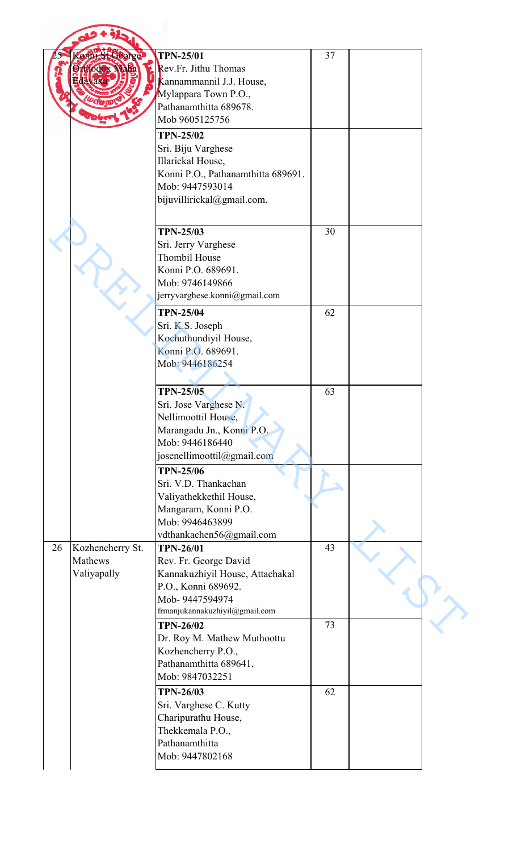|    | <b>Sonn St George</b> | <b>TPN-25/01</b>                   | 37 |  |
|----|-----------------------|------------------------------------|----|--|
|    | Orthodox Maria        | Rev.Fr. Jithu Thomas               |    |  |
|    | davak                 | Kannammannil J.J. House,           |    |  |
|    |                       | Mylappara Town P.O.,               |    |  |
|    |                       | Pathanamthitta 689678.             |    |  |
|    |                       | Mob 9605125756                     |    |  |
|    |                       | <b>TPN-25/02</b>                   |    |  |
|    |                       | Sri. Biju Varghese                 |    |  |
|    |                       | Illarickal House,                  |    |  |
|    |                       | Konni P.O., Pathanamthitta 689691. |    |  |
|    |                       | Mob: 9447593014                    |    |  |
|    |                       | bijuvillirickal@gmail.com.         |    |  |
|    |                       | <b>TPN-25/03</b>                   | 30 |  |
|    |                       | Sri. Jerry Varghese                |    |  |
|    |                       | <b>Thombil House</b>               |    |  |
|    |                       | Konni P.O. 689691.                 |    |  |
|    |                       |                                    |    |  |
|    |                       | Mob: 9746149866                    |    |  |
|    |                       | jerryvarghese.konni@gmail.com      |    |  |
|    |                       | <b>TPN-25/04</b>                   | 62 |  |
|    |                       | Sri. K.S. Joseph                   |    |  |
|    |                       | Kochuthundiyil House,              |    |  |
|    |                       | Konni P.O. 689691.                 |    |  |
|    |                       | Mob: 9446186254                    |    |  |
|    |                       | <b>TPN-25/05</b>                   | 63 |  |
|    |                       |                                    |    |  |
|    |                       | Sri. Jose Varghese N.              |    |  |
|    |                       | Nellimoottil House,                |    |  |
|    |                       | Marangadu Jn., Konni P.O.          |    |  |
|    |                       | Mob: 9446186440                    |    |  |
|    |                       | josenellimoottil@gmail.com         |    |  |
|    |                       | <b>TPN-25/06</b>                   |    |  |
|    |                       | Sri. V.D. Thankachan               |    |  |
|    |                       | Valiyathekkethil House,            |    |  |
|    |                       | Mangaram, Konni P.O.               |    |  |
|    |                       | Mob: 9946463899                    |    |  |
|    |                       | vdthankachen56@gmail.com           |    |  |
| 26 | Kozhencherry St.      | <b>TPN-26/01</b>                   | 43 |  |
|    | Mathews               | Rev. Fr. George David              |    |  |
|    | Valiyapally           | Kannakuzhiyil House, Attachakal    |    |  |
|    |                       | P.O., Konni 689692.                |    |  |
|    |                       | Mob-9447594974                     |    |  |
|    |                       | frmanjukannakuzhiyil@gmail.com     |    |  |
|    |                       | <b>TPN-26/02</b>                   | 73 |  |
|    |                       | Dr. Roy M. Mathew Muthoottu        |    |  |
|    |                       | Kozhencherry P.O.,                 |    |  |
|    |                       | Pathanamthitta 689641.             |    |  |
|    |                       | Mob: 9847032251                    |    |  |
|    |                       |                                    |    |  |
|    |                       | <b>TPN-26/03</b>                   | 62 |  |
|    |                       | Sri. Varghese C. Kutty             |    |  |
|    |                       | Charipurathu House,                |    |  |
|    |                       | Thekkemala P.O.,                   |    |  |
|    |                       | Pathanamthitta                     |    |  |
|    |                       | Mob: 9447802168                    |    |  |
|    |                       |                                    |    |  |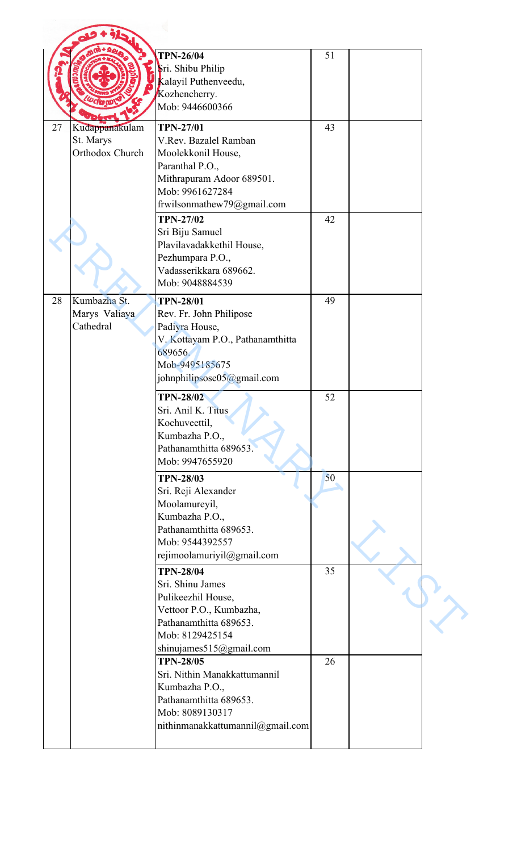|    |                             | <b>TPN-26/04</b>                                           | 51 |  |
|----|-----------------------------|------------------------------------------------------------|----|--|
|    |                             | Sri. Shibu Philip<br>Kalayil Puthenveedu,<br>Kozhencherry. |    |  |
|    |                             | Mob: 9446600366                                            |    |  |
| 27 | Kudappanakulam<br>St. Marys | <b>TPN-27/01</b><br>V.Rev. Bazalel Ramban                  | 43 |  |
|    | Orthodox Church             | Moolekkonil House,<br>Paranthal P.O.,                      |    |  |
|    |                             | Mithrapuram Adoor 689501.<br>Mob: 9961627284               |    |  |
|    |                             | frwilsonmathew79@gmail.com<br><b>TPN-27/02</b>             | 42 |  |
|    |                             | Sri Biju Samuel                                            |    |  |
|    |                             | Plavilavadakkethil House,<br>Pezhumpara P.O.,              |    |  |
|    |                             | Vadasserikkara 689662.<br>Mob: 9048884539                  |    |  |
| 28 | Kumbazha St.                | <b>TPN-28/01</b>                                           | 49 |  |
|    | Marys Valiaya<br>Cathedral  | Rev. Fr. John Philipose<br>Padiyra House,                  |    |  |
|    |                             | V. Kottayam P.O., Pathanamthitta<br>689656.                |    |  |
|    |                             | Mob-9495185675                                             |    |  |
|    |                             | johnphilipsose $05\omega$ gmail.com                        |    |  |
|    |                             | <b>TPN-28/02</b><br>Sri. Anil K. Titus                     | 52 |  |
|    |                             | Kochuveettil,                                              |    |  |
|    |                             | Kumbazha P.O.,<br>Pathanamthitta 689653.                   |    |  |
|    |                             | Mob: 9947655920                                            |    |  |
|    |                             | <b>TPN-28/03</b><br>Sri. Reji Alexander                    | 50 |  |
|    |                             | Moolamureyil,                                              |    |  |
|    |                             | Kumbazha P.O.,<br>Pathanamthitta 689653.                   |    |  |
|    |                             | Mob: 9544392557                                            |    |  |
|    |                             | rejimoolamuriyil@gmail.com                                 |    |  |
|    |                             | <b>TPN-28/04</b><br>Sri. Shinu James                       | 35 |  |
|    |                             | Pulikeezhil House,                                         |    |  |
|    |                             | Vettoor P.O., Kumbazha,<br>Pathanamthitta 689653.          |    |  |
|    |                             | Mob: 8129425154                                            |    |  |
|    |                             | shinujames515@gmail.com<br><b>TPN-28/05</b>                | 26 |  |
|    |                             | Sri. Nithin Manakkattumannil                               |    |  |
|    |                             | Kumbazha P.O.,                                             |    |  |
|    |                             | Pathanamthitta 689653.<br>Mob: 8089130317                  |    |  |
|    |                             | nithinmanakkattumannil@gmail.com                           |    |  |
|    |                             |                                                            |    |  |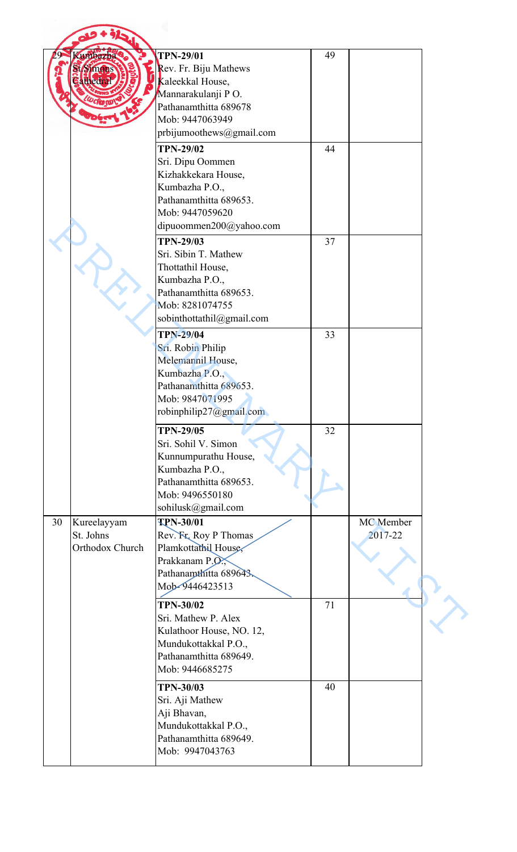|    | umbazha                                                                                                                                                                                                                                                                                                                                                                                                                                                                                                                                                                                                                                                                                                                                                                                                                                                                                                                                                                                                                                                                                                                                                                                                                                                      | <b>TPN-29/01</b>       | 49 |  |  |
|----|--------------------------------------------------------------------------------------------------------------------------------------------------------------------------------------------------------------------------------------------------------------------------------------------------------------------------------------------------------------------------------------------------------------------------------------------------------------------------------------------------------------------------------------------------------------------------------------------------------------------------------------------------------------------------------------------------------------------------------------------------------------------------------------------------------------------------------------------------------------------------------------------------------------------------------------------------------------------------------------------------------------------------------------------------------------------------------------------------------------------------------------------------------------------------------------------------------------------------------------------------------------|------------------------|----|--|--|
|    |                                                                                                                                                                                                                                                                                                                                                                                                                                                                                                                                                                                                                                                                                                                                                                                                                                                                                                                                                                                                                                                                                                                                                                                                                                                              |                        |    |  |  |
|    |                                                                                                                                                                                                                                                                                                                                                                                                                                                                                                                                                                                                                                                                                                                                                                                                                                                                                                                                                                                                                                                                                                                                                                                                                                                              |                        |    |  |  |
|    |                                                                                                                                                                                                                                                                                                                                                                                                                                                                                                                                                                                                                                                                                                                                                                                                                                                                                                                                                                                                                                                                                                                                                                                                                                                              |                        |    |  |  |
|    |                                                                                                                                                                                                                                                                                                                                                                                                                                                                                                                                                                                                                                                                                                                                                                                                                                                                                                                                                                                                                                                                                                                                                                                                                                                              |                        |    |  |  |
|    |                                                                                                                                                                                                                                                                                                                                                                                                                                                                                                                                                                                                                                                                                                                                                                                                                                                                                                                                                                                                                                                                                                                                                                                                                                                              |                        |    |  |  |
|    |                                                                                                                                                                                                                                                                                                                                                                                                                                                                                                                                                                                                                                                                                                                                                                                                                                                                                                                                                                                                                                                                                                                                                                                                                                                              |                        |    |  |  |
|    |                                                                                                                                                                                                                                                                                                                                                                                                                                                                                                                                                                                                                                                                                                                                                                                                                                                                                                                                                                                                                                                                                                                                                                                                                                                              |                        |    |  |  |
|    |                                                                                                                                                                                                                                                                                                                                                                                                                                                                                                                                                                                                                                                                                                                                                                                                                                                                                                                                                                                                                                                                                                                                                                                                                                                              |                        |    |  |  |
|    |                                                                                                                                                                                                                                                                                                                                                                                                                                                                                                                                                                                                                                                                                                                                                                                                                                                                                                                                                                                                                                                                                                                                                                                                                                                              |                        |    |  |  |
|    |                                                                                                                                                                                                                                                                                                                                                                                                                                                                                                                                                                                                                                                                                                                                                                                                                                                                                                                                                                                                                                                                                                                                                                                                                                                              |                        |    |  |  |
|    |                                                                                                                                                                                                                                                                                                                                                                                                                                                                                                                                                                                                                                                                                                                                                                                                                                                                                                                                                                                                                                                                                                                                                                                                                                                              |                        |    |  |  |
|    |                                                                                                                                                                                                                                                                                                                                                                                                                                                                                                                                                                                                                                                                                                                                                                                                                                                                                                                                                                                                                                                                                                                                                                                                                                                              |                        |    |  |  |
|    |                                                                                                                                                                                                                                                                                                                                                                                                                                                                                                                                                                                                                                                                                                                                                                                                                                                                                                                                                                                                                                                                                                                                                                                                                                                              |                        |    |  |  |
|    |                                                                                                                                                                                                                                                                                                                                                                                                                                                                                                                                                                                                                                                                                                                                                                                                                                                                                                                                                                                                                                                                                                                                                                                                                                                              |                        |    |  |  |
|    |                                                                                                                                                                                                                                                                                                                                                                                                                                                                                                                                                                                                                                                                                                                                                                                                                                                                                                                                                                                                                                                                                                                                                                                                                                                              |                        |    |  |  |
|    | Rev. Fr. Biju Mathews<br>t Simons<br>Kaleekkal House,<br><b>Elthedra</b><br>Mannarakulanji PO.<br>Pathanamthitta 689678<br>Mob: 9447063949<br>prbijumoothews@gmail.com<br>44<br><b>TPN-29/02</b><br>Sri. Dipu Oommen<br>Kizhakkekara House,<br>Kumbazha P.O.,<br>Pathanamthitta 689653.<br>Mob: 9447059620<br>dipuoommen200@yahoo.com<br>37<br><b>TPN-29/03</b><br>Sri. Sibin T. Mathew<br>Thottathil House,<br>Kumbazha P.O.,<br>Pathanamthitta 689653.<br>Mob: 8281074755<br>sobinthottathil@gmail.com<br><b>TPN-29/04</b><br>33<br>Sri. Robin Philip<br>Melemannil House,<br>Kumbazha P.O.,<br>Pathanamthitta 689653.<br>Mob: 9847071995<br>robinphilip27@gmail.com<br>32<br><b>TPN-29/05</b><br>Sri. Sohil V. Simon<br>Kunnumpurathu House,<br>Kumbazha P.O.,<br>Pathanamthitta 689653.<br>Mob: 9496550180<br>sohilusk@gmail.com<br><b>TPN-30/01</b><br>MC Member<br>Kureelayyam<br>St. Johns<br>2017-22<br>Rev. Fr. Roy P Thomas<br>Orthodox Church<br>Plamkottathil House,<br>Prakkanam P.O.<br>Pathanamthitta 689643.<br>Mob-9446423513<br><b>TPN-30/02</b><br>71<br>Sri. Mathew P. Alex<br>Kulathoor House, NO. 12,<br>Mundukottakkal P.O.,<br>Pathanamthitta 689649.<br>Mob: 9446685275<br><b>TPN-30/03</b><br>40<br>Sri. Aji Mathew<br>Aji Bhavan, |                        |    |  |  |
|    |                                                                                                                                                                                                                                                                                                                                                                                                                                                                                                                                                                                                                                                                                                                                                                                                                                                                                                                                                                                                                                                                                                                                                                                                                                                              |                        |    |  |  |
|    |                                                                                                                                                                                                                                                                                                                                                                                                                                                                                                                                                                                                                                                                                                                                                                                                                                                                                                                                                                                                                                                                                                                                                                                                                                                              |                        |    |  |  |
|    |                                                                                                                                                                                                                                                                                                                                                                                                                                                                                                                                                                                                                                                                                                                                                                                                                                                                                                                                                                                                                                                                                                                                                                                                                                                              |                        |    |  |  |
|    |                                                                                                                                                                                                                                                                                                                                                                                                                                                                                                                                                                                                                                                                                                                                                                                                                                                                                                                                                                                                                                                                                                                                                                                                                                                              |                        |    |  |  |
|    |                                                                                                                                                                                                                                                                                                                                                                                                                                                                                                                                                                                                                                                                                                                                                                                                                                                                                                                                                                                                                                                                                                                                                                                                                                                              |                        |    |  |  |
|    |                                                                                                                                                                                                                                                                                                                                                                                                                                                                                                                                                                                                                                                                                                                                                                                                                                                                                                                                                                                                                                                                                                                                                                                                                                                              |                        |    |  |  |
|    |                                                                                                                                                                                                                                                                                                                                                                                                                                                                                                                                                                                                                                                                                                                                                                                                                                                                                                                                                                                                                                                                                                                                                                                                                                                              |                        |    |  |  |
|    |                                                                                                                                                                                                                                                                                                                                                                                                                                                                                                                                                                                                                                                                                                                                                                                                                                                                                                                                                                                                                                                                                                                                                                                                                                                              |                        |    |  |  |
|    |                                                                                                                                                                                                                                                                                                                                                                                                                                                                                                                                                                                                                                                                                                                                                                                                                                                                                                                                                                                                                                                                                                                                                                                                                                                              |                        |    |  |  |
|    |                                                                                                                                                                                                                                                                                                                                                                                                                                                                                                                                                                                                                                                                                                                                                                                                                                                                                                                                                                                                                                                                                                                                                                                                                                                              |                        |    |  |  |
|    |                                                                                                                                                                                                                                                                                                                                                                                                                                                                                                                                                                                                                                                                                                                                                                                                                                                                                                                                                                                                                                                                                                                                                                                                                                                              |                        |    |  |  |
|    |                                                                                                                                                                                                                                                                                                                                                                                                                                                                                                                                                                                                                                                                                                                                                                                                                                                                                                                                                                                                                                                                                                                                                                                                                                                              |                        |    |  |  |
|    |                                                                                                                                                                                                                                                                                                                                                                                                                                                                                                                                                                                                                                                                                                                                                                                                                                                                                                                                                                                                                                                                                                                                                                                                                                                              |                        |    |  |  |
|    |                                                                                                                                                                                                                                                                                                                                                                                                                                                                                                                                                                                                                                                                                                                                                                                                                                                                                                                                                                                                                                                                                                                                                                                                                                                              |                        |    |  |  |
|    |                                                                                                                                                                                                                                                                                                                                                                                                                                                                                                                                                                                                                                                                                                                                                                                                                                                                                                                                                                                                                                                                                                                                                                                                                                                              |                        |    |  |  |
|    |                                                                                                                                                                                                                                                                                                                                                                                                                                                                                                                                                                                                                                                                                                                                                                                                                                                                                                                                                                                                                                                                                                                                                                                                                                                              |                        |    |  |  |
|    |                                                                                                                                                                                                                                                                                                                                                                                                                                                                                                                                                                                                                                                                                                                                                                                                                                                                                                                                                                                                                                                                                                                                                                                                                                                              |                        |    |  |  |
|    |                                                                                                                                                                                                                                                                                                                                                                                                                                                                                                                                                                                                                                                                                                                                                                                                                                                                                                                                                                                                                                                                                                                                                                                                                                                              |                        |    |  |  |
| 30 |                                                                                                                                                                                                                                                                                                                                                                                                                                                                                                                                                                                                                                                                                                                                                                                                                                                                                                                                                                                                                                                                                                                                                                                                                                                              |                        |    |  |  |
|    |                                                                                                                                                                                                                                                                                                                                                                                                                                                                                                                                                                                                                                                                                                                                                                                                                                                                                                                                                                                                                                                                                                                                                                                                                                                              |                        |    |  |  |
|    |                                                                                                                                                                                                                                                                                                                                                                                                                                                                                                                                                                                                                                                                                                                                                                                                                                                                                                                                                                                                                                                                                                                                                                                                                                                              |                        |    |  |  |
|    |                                                                                                                                                                                                                                                                                                                                                                                                                                                                                                                                                                                                                                                                                                                                                                                                                                                                                                                                                                                                                                                                                                                                                                                                                                                              |                        |    |  |  |
|    |                                                                                                                                                                                                                                                                                                                                                                                                                                                                                                                                                                                                                                                                                                                                                                                                                                                                                                                                                                                                                                                                                                                                                                                                                                                              |                        |    |  |  |
|    |                                                                                                                                                                                                                                                                                                                                                                                                                                                                                                                                                                                                                                                                                                                                                                                                                                                                                                                                                                                                                                                                                                                                                                                                                                                              |                        |    |  |  |
|    |                                                                                                                                                                                                                                                                                                                                                                                                                                                                                                                                                                                                                                                                                                                                                                                                                                                                                                                                                                                                                                                                                                                                                                                                                                                              |                        |    |  |  |
|    |                                                                                                                                                                                                                                                                                                                                                                                                                                                                                                                                                                                                                                                                                                                                                                                                                                                                                                                                                                                                                                                                                                                                                                                                                                                              |                        |    |  |  |
|    |                                                                                                                                                                                                                                                                                                                                                                                                                                                                                                                                                                                                                                                                                                                                                                                                                                                                                                                                                                                                                                                                                                                                                                                                                                                              |                        |    |  |  |
|    |                                                                                                                                                                                                                                                                                                                                                                                                                                                                                                                                                                                                                                                                                                                                                                                                                                                                                                                                                                                                                                                                                                                                                                                                                                                              |                        |    |  |  |
|    |                                                                                                                                                                                                                                                                                                                                                                                                                                                                                                                                                                                                                                                                                                                                                                                                                                                                                                                                                                                                                                                                                                                                                                                                                                                              |                        |    |  |  |
|    |                                                                                                                                                                                                                                                                                                                                                                                                                                                                                                                                                                                                                                                                                                                                                                                                                                                                                                                                                                                                                                                                                                                                                                                                                                                              |                        |    |  |  |
|    |                                                                                                                                                                                                                                                                                                                                                                                                                                                                                                                                                                                                                                                                                                                                                                                                                                                                                                                                                                                                                                                                                                                                                                                                                                                              |                        |    |  |  |
|    |                                                                                                                                                                                                                                                                                                                                                                                                                                                                                                                                                                                                                                                                                                                                                                                                                                                                                                                                                                                                                                                                                                                                                                                                                                                              |                        |    |  |  |
|    |                                                                                                                                                                                                                                                                                                                                                                                                                                                                                                                                                                                                                                                                                                                                                                                                                                                                                                                                                                                                                                                                                                                                                                                                                                                              |                        |    |  |  |
|    |                                                                                                                                                                                                                                                                                                                                                                                                                                                                                                                                                                                                                                                                                                                                                                                                                                                                                                                                                                                                                                                                                                                                                                                                                                                              | Mundukottakkal P.O.,   |    |  |  |
|    |                                                                                                                                                                                                                                                                                                                                                                                                                                                                                                                                                                                                                                                                                                                                                                                                                                                                                                                                                                                                                                                                                                                                                                                                                                                              | Pathanamthitta 689649. |    |  |  |
|    |                                                                                                                                                                                                                                                                                                                                                                                                                                                                                                                                                                                                                                                                                                                                                                                                                                                                                                                                                                                                                                                                                                                                                                                                                                                              | Mob: 9947043763        |    |  |  |
|    |                                                                                                                                                                                                                                                                                                                                                                                                                                                                                                                                                                                                                                                                                                                                                                                                                                                                                                                                                                                                                                                                                                                                                                                                                                                              |                        |    |  |  |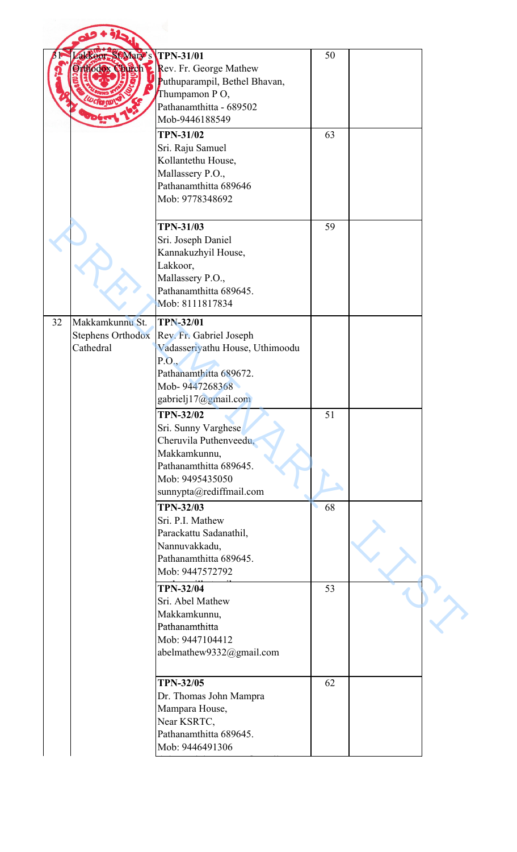|                 | akkeor, St Mary's                                    | <b>TPN-31/01</b><br><b>Orthodox Chiech El Rev. Fr. George Mathew</b><br>Puthuparampil, Bethel Bhavan,                          | 50 |  |
|-----------------|------------------------------------------------------|--------------------------------------------------------------------------------------------------------------------------------|----|--|
|                 |                                                      | Thumpamon PO,<br>Pathanamthitta - 689502                                                                                       |    |  |
|                 |                                                      | Mob-9446188549<br><b>TPN-31/02</b>                                                                                             | 63 |  |
|                 |                                                      | Sri. Raju Samuel<br>Kollantethu House,<br>Mallassery P.O.,<br>Pathanamthitta 689646<br>Mob: 9778348692                         |    |  |
|                 | Lakkoor,                                             | <b>TPN-31/03</b><br>Sri. Joseph Daniel<br>Kannakuzhyil House,<br>Mallassery P.O.,<br>Pathanamthitta 689645.<br>Mob: 8111817834 | 59 |  |
| 32<br>Cathedral | Makkamkunnu St.<br><b>Stephens Orthodox</b><br>P.O., | <b>TPN-32/01</b><br>Rev. Fr. Gabriel Joseph<br>Vadasseriyathu House, Uthimoodu<br>Pathanamthitta 689672.                       |    |  |
|                 |                                                      | Mob-9447268368<br>gabrielj17@gmail.com                                                                                         |    |  |
|                 |                                                      | <b>TPN-32/02</b><br>Sri. Sunny Varghese<br>Cheruvila Puthenveedu,<br>Makkamkunnu,<br>Pathanamthitta 689645.<br>Mob: 9495435050 | 51 |  |
|                 |                                                      | sunnypta@rediffmail.com<br><b>TPN-32/03</b>                                                                                    | 68 |  |
|                 |                                                      | Sri. P.I. Mathew<br>Parackattu Sadanathil,<br>Nannuvakkadu,<br>Pathanamthitta 689645.<br>Mob: 9447572792                       |    |  |
|                 |                                                      | <b>TPN-32/04</b><br>Sri. Abel Mathew<br>Makkamkunnu,<br>Pathanamthitta<br>Mob: 9447104412<br>abelmathew9332@gmail.com          | 53 |  |
|                 |                                                      | <b>TPN-32/05</b><br>Dr. Thomas John Mampra<br>Mampara House,<br>Near KSRTC,                                                    | 62 |  |
|                 |                                                      | Pathanamthitta 689645.<br>Mob: 9446491306                                                                                      |    |  |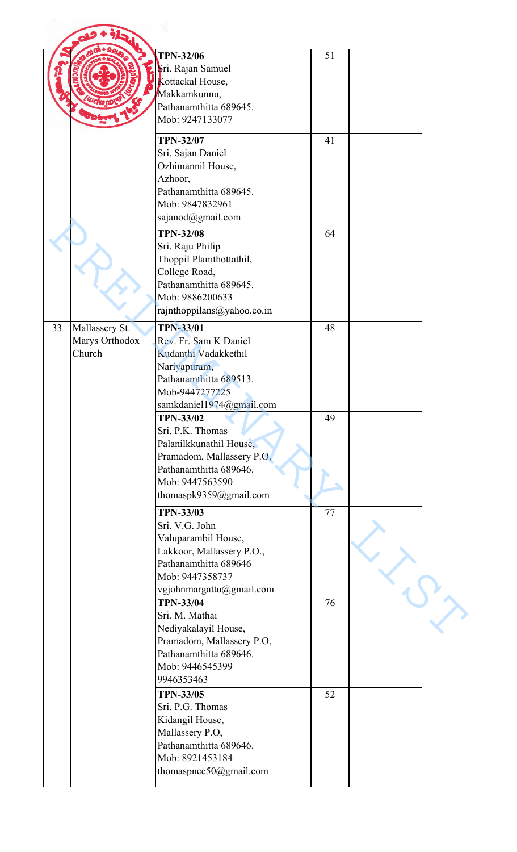|    |                | <b>TPN-32/06</b>           | 51 |  |
|----|----------------|----------------------------|----|--|
|    |                | Sri. Rajan Samuel          |    |  |
|    |                |                            |    |  |
|    |                | Kottackal House,           |    |  |
|    |                | Makkamkunnu,               |    |  |
|    |                | Pathanamthitta 689645.     |    |  |
|    |                | Mob: 9247133077            |    |  |
|    |                | <b>TPN-32/07</b>           | 41 |  |
|    |                |                            |    |  |
|    |                | Sri. Sajan Daniel          |    |  |
|    |                | Ozhimannil House,          |    |  |
|    |                | Azhoor,                    |    |  |
|    |                | Pathanamthitta 689645.     |    |  |
|    |                | Mob: 9847832961            |    |  |
|    |                | sajanod@gmail.com          |    |  |
|    |                | <b>TPN-32/08</b>           | 64 |  |
|    |                | Sri. Raju Philip           |    |  |
|    |                | Thoppil Plamthottathil,    |    |  |
|    |                |                            |    |  |
|    |                | College Road,              |    |  |
|    |                | Pathanamthitta 689645.     |    |  |
|    |                | Mob: 9886200633            |    |  |
|    |                | rajnthoppilans@yahoo.co.in |    |  |
| 33 | Mallassery St. | <b>TPN-33/01</b>           | 48 |  |
|    | Marys Orthodox | Rev. Fr. Sam K Daniel      |    |  |
|    | Church         | Kudanthi Vadakkethil       |    |  |
|    |                | Nariyapuram,               |    |  |
|    |                | Pathanamthitta 689513.     |    |  |
|    |                | Mob-9447277225             |    |  |
|    |                |                            |    |  |
|    |                | samkdaniel1974@gmail.com   |    |  |
|    |                | <b>TPN-33/02</b>           | 49 |  |
|    |                | Sri. P.K. Thomas           |    |  |
|    |                | Palanilkkunathil House,    |    |  |
|    |                | Pramadom, Mallassery P.O.  |    |  |
|    |                | Pathanamthitta 689646.     |    |  |
|    |                | Mob: 9447563590            |    |  |
|    |                | thomaspk9359@gmail.com     |    |  |
|    |                | <b>TPN-33/03</b>           | 77 |  |
|    |                | Sri. V.G. John             |    |  |
|    |                |                            |    |  |
|    |                | Valuparambil House,        |    |  |
|    |                | Lakkoor, Mallassery P.O.,  |    |  |
|    |                | Pathanamthitta 689646      |    |  |
|    |                | Mob: 9447358737            |    |  |
|    |                | vgjohnmargattu@gmail.com   |    |  |
|    |                | <b>TPN-33/04</b>           | 76 |  |
|    |                | Sri. M. Mathai             |    |  |
|    |                | Nediyakalayil House,       |    |  |
|    |                | Pramadom, Mallassery P.O.  |    |  |
|    |                | Pathanamthitta 689646.     |    |  |
|    |                | Mob: 9446545399            |    |  |
|    |                | 9946353463                 |    |  |
|    |                |                            |    |  |
|    |                | <b>TPN-33/05</b>           | 52 |  |
|    |                | Sri. P.G. Thomas           |    |  |
|    |                | Kidangil House,            |    |  |
|    |                | Mallassery P.O,            |    |  |
|    |                | Pathanamthitta 689646.     |    |  |
|    |                | Mob: 8921453184            |    |  |
|    |                | thomaspncc50@gmail.com     |    |  |
|    |                |                            |    |  |
|    |                |                            |    |  |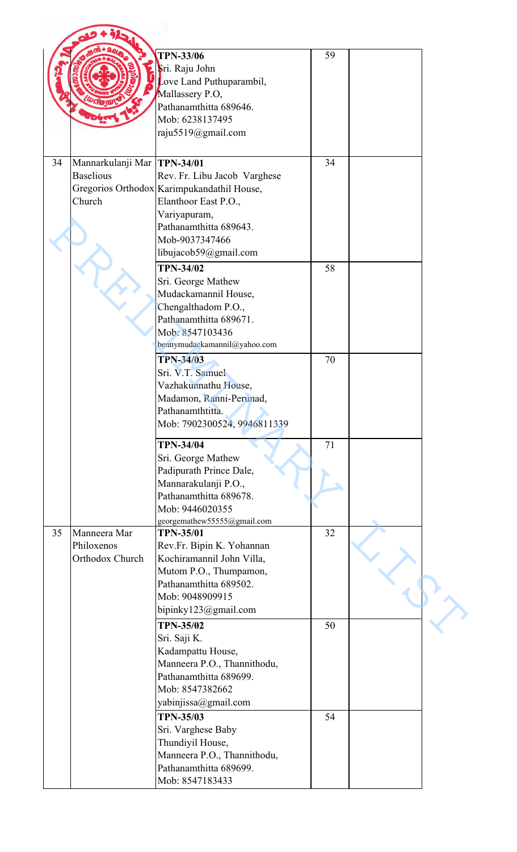|    |                               | <b>TPN-33/06</b>                                      | 59 |  |
|----|-------------------------------|-------------------------------------------------------|----|--|
|    |                               |                                                       |    |  |
|    |                               | Sri. Raju John                                        |    |  |
|    |                               | Love Land Puthuparambil,                              |    |  |
|    |                               | Mallassery P.O,                                       |    |  |
|    |                               | Pathanamthitta 689646.                                |    |  |
|    |                               | Mob: 6238137495                                       |    |  |
|    |                               | raju5519@gmail.com                                    |    |  |
| 34 | Mannarkulanji Mar   TPN-34/01 |                                                       | 34 |  |
|    | <b>Baselious</b>              | Rev. Fr. Libu Jacob Varghese                          |    |  |
|    |                               | Gregorios Orthodox Karimpukandathil House,            |    |  |
|    | Church                        | Elanthoor East P.O.,                                  |    |  |
|    |                               | Variyapuram,                                          |    |  |
|    |                               | Pathanamthitta 689643.                                |    |  |
|    |                               | Mob-9037347466                                        |    |  |
|    |                               | libujacob59@gmail.com                                 |    |  |
|    |                               |                                                       |    |  |
|    |                               | <b>TPN-34/02</b>                                      | 58 |  |
|    |                               | Sri. George Mathew                                    |    |  |
|    |                               | Mudackamannil House,                                  |    |  |
|    |                               | Chengalthadom P.O.,                                   |    |  |
|    |                               | Pathanamthitta 689671.                                |    |  |
|    |                               | Mob: 8547103436                                       |    |  |
|    |                               | bennymudackamannil@yahoo.com                          |    |  |
|    |                               | <b>TPN-34/03</b>                                      | 70 |  |
|    |                               | Sri. V.T. Samuel                                      |    |  |
|    |                               | Vazhakunnathu House,                                  |    |  |
|    |                               | Madamon, Ranni-Perunad,                               |    |  |
|    |                               | Pathanamthtitta.                                      |    |  |
|    |                               | Mob: 7902300524, 9946811339                           |    |  |
|    |                               | <b>TPN-34/04</b>                                      | 71 |  |
|    |                               | Sri. George Mathew                                    |    |  |
|    |                               | Padipurath Prince Dale,                               |    |  |
|    |                               | Mannarakulanji P.O.,                                  |    |  |
|    |                               | Pathanamthitta 689678.                                |    |  |
|    |                               | Mob: 9446020355                                       |    |  |
|    |                               | georgemathew55555@gmail.com                           |    |  |
| 35 | Manneera Mar                  | <b>TPN-35/01</b>                                      | 32 |  |
|    | Philoxenos                    | Rev.Fr. Bipin K. Yohannan                             |    |  |
|    | Orthodox Church               | Kochiramannil John Villa,                             |    |  |
|    |                               | Mutom P.O., Thumpamon,                                |    |  |
|    |                               | Pathanamthitta 689502.                                |    |  |
|    |                               | Mob: 9048909915                                       |    |  |
|    |                               | bipinky123@gmail.com                                  |    |  |
|    |                               | <b>TPN-35/02</b>                                      | 50 |  |
|    |                               |                                                       |    |  |
|    |                               | Sri. Saji K.                                          |    |  |
|    |                               | Kadampattu House,                                     |    |  |
|    |                               | Manneera P.O., Thannithodu,                           |    |  |
|    |                               | Pathanamthitta 689699.                                |    |  |
|    |                               | Mob: 8547382662                                       |    |  |
|    |                               | yabinjissa@gmail.com                                  |    |  |
|    |                               | <b>TPN-35/03</b>                                      | 54 |  |
|    |                               | Sri. Varghese Baby                                    |    |  |
|    |                               | Thundiyil House,                                      |    |  |
|    |                               |                                                       |    |  |
|    |                               |                                                       |    |  |
|    |                               | Manneera P.O., Thannithodu,<br>Pathanamthitta 689699. |    |  |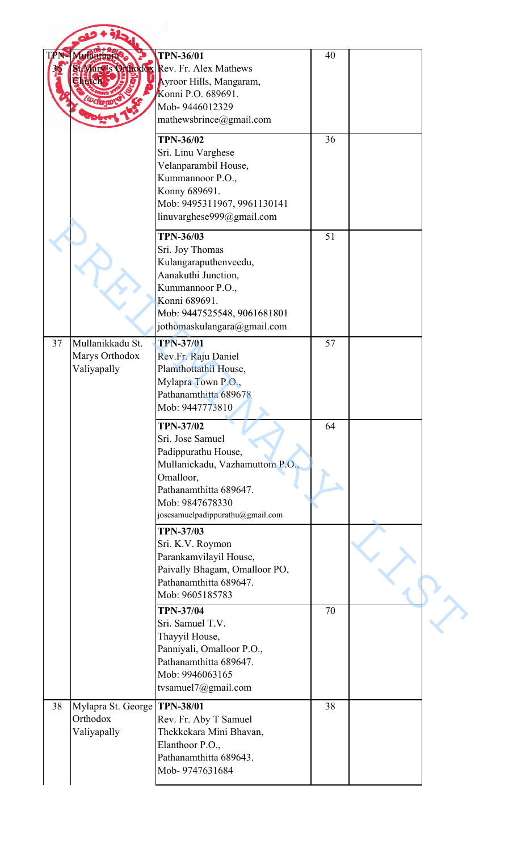| T  | Mulanthara                                                     | <b>TPN-36/01</b><br>St Mary's Orthodox Rev. Fr. Alex Mathews<br>Ayroor Hills, Mangaram,<br>Konni P.O. 689691.<br>Mob-9446012329<br>mathewsbrince@gmail.com                                   | 40 |  |
|----|----------------------------------------------------------------|----------------------------------------------------------------------------------------------------------------------------------------------------------------------------------------------|----|--|
|    |                                                                | <b>TPN-36/02</b><br>Sri. Linu Varghese<br>Velanparambil House,<br>Kummannoor P.O.,<br>Konny 689691.<br>Mob: 9495311967, 9961130141<br>linuvarghese999@gmail.com                              | 36 |  |
|    |                                                                | <b>TPN-36/03</b><br>Sri. Joy Thomas<br>Kulangaraputhenveedu,<br>Aanakuthi Junction,<br>Kummannoor P.O.,<br>Konni 689691.<br>Mob: 9447525548, 9061681801<br>jothomaskulangara@gmail.com       | 51 |  |
| 37 | Mullanikkadu St.<br>Marys Orthodox<br>Valiyapally              | <b>TPN-37/01</b><br>Rev.Fr. Raju Daniel<br>Plamthottathil House,<br>Mylapra Town P.O.,<br>Pathanamthitta 689678<br>Mob: 9447773810                                                           | 57 |  |
|    |                                                                | <b>TPN-37/02</b><br>Sri. Jose Samuel<br>Padippurathu House,<br>Mullanickadu, Vazhamuttom P.O.,<br>Omalloor,<br>Pathanamthitta 689647.<br>Mob: 9847678330<br>josesamuelpadippurathu@gmail.com | 64 |  |
|    |                                                                | <b>TPN-37/03</b><br>Sri. K.V. Roymon<br>Parankamvilayil House,<br>Paivally Bhagam, Omalloor PO,<br>Pathanamthitta 689647.<br>Mob: 9605185783                                                 |    |  |
|    |                                                                | <b>TPN-37/04</b><br>Sri. Samuel T.V.<br>Thayyil House,<br>Panniyali, Omalloor P.O.,<br>Pathanamthitta 689647.<br>Mob: 9946063165<br>tvsamuel7@gmail.com                                      | 70 |  |
| 38 | Mylapra St. George <b>TPN-38/01</b><br>Orthodox<br>Valiyapally | Rev. Fr. Aby T Samuel<br>Thekkekara Mini Bhavan,<br>Elanthoor P.O.,<br>Pathanamthitta 689643.<br>Mob-9747631684                                                                              | 38 |  |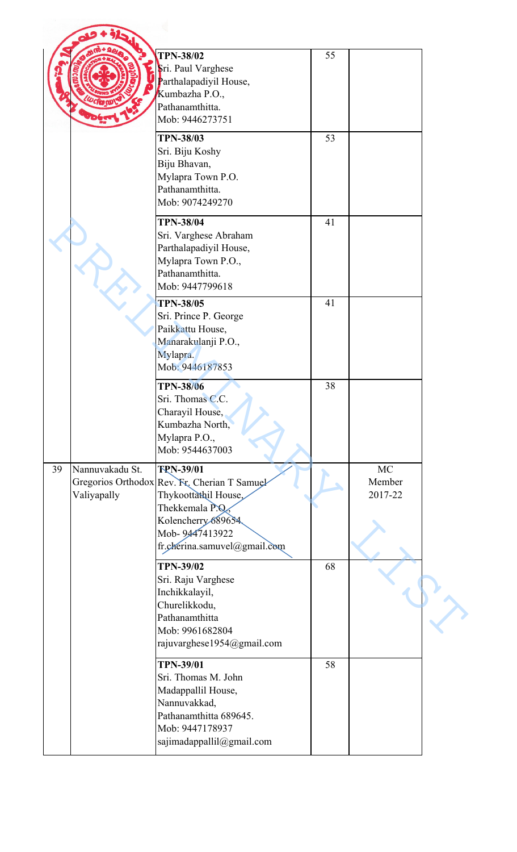|    |                                | <b>TPN-38/02</b><br>Sri. Paul Varghese<br>Parthalapadiyil House,<br>Kumbazha P.O.,<br>Pathanamthitta.<br>Mob: 9446273751                                                            | 55 |                                |  |
|----|--------------------------------|-------------------------------------------------------------------------------------------------------------------------------------------------------------------------------------|----|--------------------------------|--|
|    |                                | <b>TPN-38/03</b><br>Sri. Biju Koshy<br>Biju Bhavan,<br>Mylapra Town P.O.<br>Pathanamthitta.<br>Mob: 9074249270                                                                      | 53 |                                |  |
|    |                                | <b>TPN-38/04</b><br>Sri. Varghese Abraham<br>Parthalapadiyil House,<br>Mylapra Town P.O.,<br>Pathanamthitta.<br>Mob: 9447799618                                                     | 41 |                                |  |
|    |                                | <b>TPN-38/05</b><br>Sri. Prince P. George<br>Paikkattu House,<br>Manarakulanji P.O.,<br>Mylapra.<br>Mob: 9446187853                                                                 | 41 |                                |  |
|    |                                | <b>TPN-38/06</b><br>Sri. Thomas C.C.<br>Charayil House,<br>Kumbazha North,<br>Mylapra P.O.,<br>Mob: 9544637003                                                                      | 38 |                                |  |
| 39 | Nannuvakadu St.<br>Valiyapally | <b>TPN-39/01</b><br>Gregorios Orthodox Rev. Fr. Cherian T Samuel<br>Thykoottathil House,<br>Thekkemala P.Q.<br>Kolencherry 689654<br>Mob-9447413922<br>fr.cherina.samuvel@gmail.com |    | <b>MC</b><br>Member<br>2017-22 |  |
|    |                                | <b>TPN-39/02</b><br>Sri. Raju Varghese<br>Inchikkalayil,<br>Churelikkodu,<br>Pathanamthitta<br>Mob: 9961682804<br>rajuvarghese1954@gmail.com                                        | 68 |                                |  |
|    |                                | <b>TPN-39/01</b><br>Sri. Thomas M. John<br>Madappallil House,<br>Nannuvakkad,<br>Pathanamthitta 689645.<br>Mob: 9447178937<br>sajimadappallil@gmail.com                             | 58 |                                |  |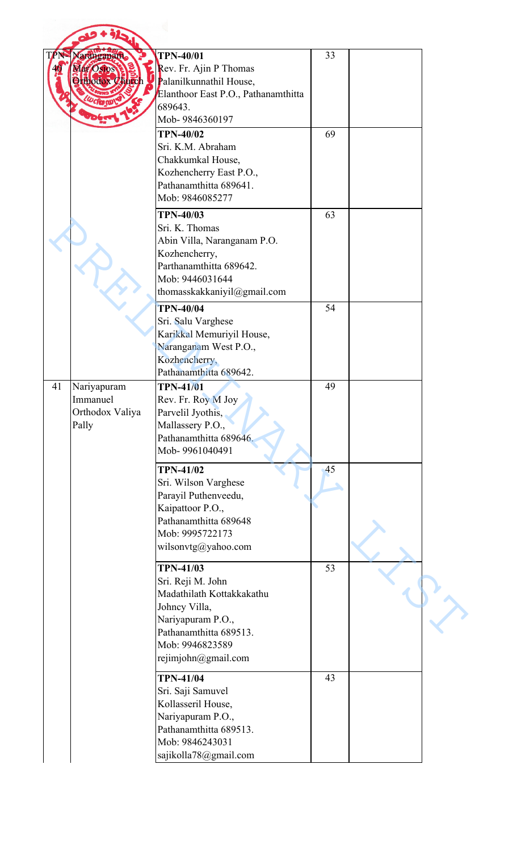|     | 915                                                 |                                                                                                                                                                              |    |  |
|-----|-----------------------------------------------------|------------------------------------------------------------------------------------------------------------------------------------------------------------------------------|----|--|
| TPN | Naranganam<br>Mar Oslos<br><b>Orthodox Church</b>   | <b>TPN-40/01</b><br>Rev. Fr. Ajin P Thomas<br>Palanilkunnathil House,<br>Elanthoor East P.O., Pathanamthitta<br>689643.                                                      | 33 |  |
|     |                                                     | Mob-9846360197                                                                                                                                                               |    |  |
|     |                                                     | <b>TPN-40/02</b><br>Sri. K.M. Abraham<br>Chakkumkal House,<br>Kozhencherry East P.O.,<br>Pathanamthitta 689641.<br>Mob: 9846085277                                           | 69 |  |
|     |                                                     | <b>TPN-40/03</b><br>Sri. K. Thomas<br>Abin Villa, Naranganam P.O.<br>Kozhencherry,<br>Parthanamthitta 689642.<br>Mob: 9446031644<br>thomasskakkaniyil@gmail.com              | 63 |  |
|     |                                                     | <b>TPN-40/04</b><br>Sri. Salu Varghese<br>Karikkal Memuriyil House,<br>Naranganam West P.O.,<br>Kozhencherry,<br>Pathanamthitta 689642.                                      | 54 |  |
| 41  | Nariyapuram<br>Immanuel<br>Orthodox Valiya<br>Pally | <b>TPN-41/01</b><br>Rev. Fr. Roy M Joy<br>Parvelil Jyothis,<br>Mallassery P.O.,<br>Pathanamthitta 689646.<br>Mob-9961040491                                                  | 49 |  |
|     |                                                     | <b>TPN-41/02</b><br>Sri. Wilson Varghese<br>Parayil Puthenveedu,<br>Kaipattoor P.O.,<br>Pathanamthitta 689648<br>Mob: 9995722173<br>wilsonvtg@yahoo.com                      | 45 |  |
|     |                                                     | <b>TPN-41/03</b><br>Sri. Reji M. John<br>Madathilath Kottakkakathu<br>Johney Villa,<br>Nariyapuram P.O.,<br>Pathanamthitta 689513.<br>Mob: 9946823589<br>rejimjohn@gmail.com | 53 |  |
|     |                                                     | <b>TPN-41/04</b><br>Sri. Saji Samuvel<br>Kollasseril House,<br>Nariyapuram P.O.,<br>Pathanamthitta 689513.<br>Mob: 9846243031<br>sajikolla78@gmail.com                       | 43 |  |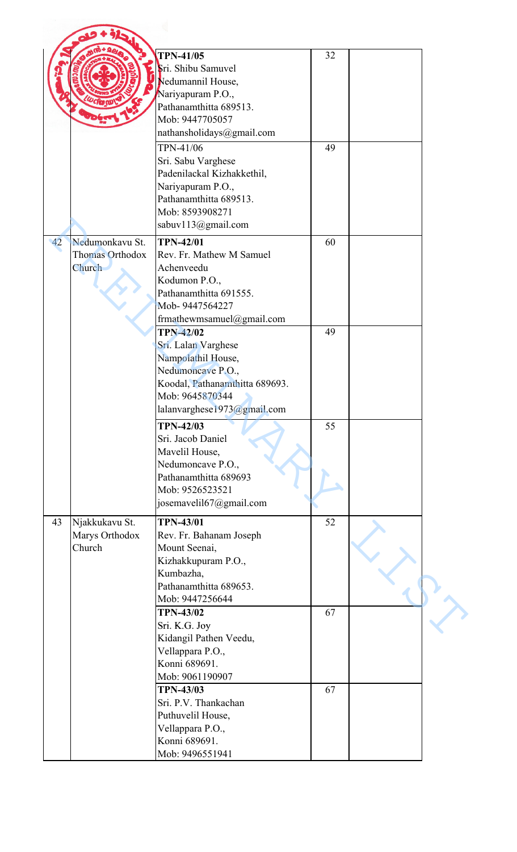|    |                 | <b>TPN-41/05</b>                          | 32 |  |
|----|-----------------|-------------------------------------------|----|--|
|    |                 | Sri. Shibu Samuvel                        |    |  |
|    |                 | Nedumannil House,                         |    |  |
|    |                 | Nariyapuram P.O.,                         |    |  |
|    |                 | Pathanamthitta 689513.                    |    |  |
|    |                 | Mob: 9447705057                           |    |  |
|    |                 | nathansholidays@gmail.com                 |    |  |
|    |                 |                                           |    |  |
|    |                 | TPN-41/06                                 | 49 |  |
|    |                 | Sri. Sabu Varghese                        |    |  |
|    |                 | Padenilackal Kizhakkethil,                |    |  |
|    |                 | Nariyapuram P.O.,                         |    |  |
|    |                 | Pathanamthitta 689513.<br>Mob: 8593908271 |    |  |
|    |                 |                                           |    |  |
|    |                 | sabuv113@gmail.com                        |    |  |
| 42 | Nedumonkavu St. | <b>TPN-42/01</b>                          | 60 |  |
|    | Thomas Orthodox | Rev. Fr. Mathew M Samuel                  |    |  |
|    | Church          | Achenveedu                                |    |  |
|    |                 | Kodumon P.O.,                             |    |  |
|    |                 | Pathanamthitta 691555.                    |    |  |
|    |                 | Mob-9447564227                            |    |  |
|    |                 | frmathewmsamuel@gmail.com                 |    |  |
|    |                 | <b>TPN-42/02</b>                          | 49 |  |
|    |                 | Sri. Lalan Varghese                       |    |  |
|    |                 | Nampolathil House,                        |    |  |
|    |                 | Nedumoncave P.O.,                         |    |  |
|    |                 | Koodal, Pathanamthitta 689693.            |    |  |
|    |                 | Mob: 9645870344                           |    |  |
|    |                 | lalanvarghese1973@gmail.com               |    |  |
|    |                 | <b>TPN-42/03</b>                          | 55 |  |
|    |                 | Sri. Jacob Daniel                         |    |  |
|    |                 | Mavelil House,                            |    |  |
|    |                 | Nedumoncave P.O.,                         |    |  |
|    |                 | Pathanamthitta 689693                     |    |  |
|    |                 | Mob: 9526523521                           |    |  |
|    |                 | josemavelil67@gmail.com                   |    |  |
| 43 | Njakkukavu St.  | <b>TPN-43/01</b>                          | 52 |  |
|    | Marys Orthodox  | Rev. Fr. Bahanam Joseph                   |    |  |
|    | Church          | Mount Seenai,                             |    |  |
|    |                 | Kizhakkupuram P.O.,                       |    |  |
|    |                 | Kumbazha,                                 |    |  |
|    |                 | Pathanamthitta 689653.                    |    |  |
|    |                 | Mob: 9447256644                           |    |  |
|    |                 | <b>TPN-43/02</b>                          | 67 |  |
|    |                 | Sri. K.G. Joy                             |    |  |
|    |                 | Kidangil Pathen Veedu,                    |    |  |
|    |                 | Vellappara P.O.,                          |    |  |
|    |                 | Konni 689691.                             |    |  |
|    |                 | Mob: 9061190907                           |    |  |
|    |                 | <b>TPN-43/03</b>                          | 67 |  |
|    |                 | Sri. P.V. Thankachan                      |    |  |
|    |                 | Puthuvelil House,                         |    |  |
|    |                 | Vellappara P.O.,                          |    |  |
|    |                 | Konni 689691.                             |    |  |
|    |                 | Mob: 9496551941                           |    |  |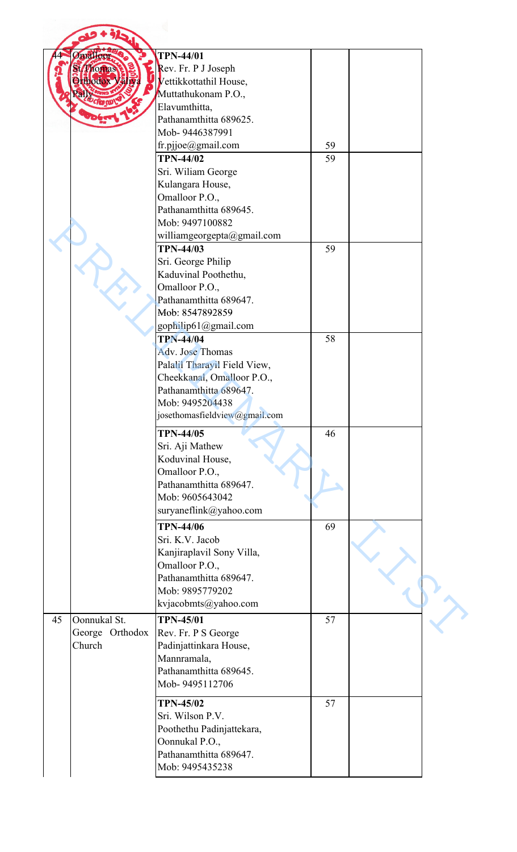|    | malloor         | <b>TPN-44/01</b>              |    |  |
|----|-----------------|-------------------------------|----|--|
|    | <b>Phonas</b>   | Rev. Fr. P J Joseph           |    |  |
|    | <b>Tthodox</b>  | Vettikkottathil House,        |    |  |
|    |                 | Muttathukonam P.O.,           |    |  |
|    |                 | Elavumthitta,                 |    |  |
|    |                 | Pathanamthitta 689625.        |    |  |
|    |                 | Mob-9446387991                |    |  |
|    |                 | fr.pjjoe@gmail.com            | 59 |  |
|    |                 | <b>TPN-44/02</b>              | 59 |  |
|    |                 | Sri. Wiliam George            |    |  |
|    |                 | Kulangara House,              |    |  |
|    |                 | Omalloor P.O.,                |    |  |
|    |                 | Pathanamthitta 689645.        |    |  |
|    |                 | Mob: 9497100882               |    |  |
|    |                 | williamgeorgepta@gmail.com    |    |  |
|    |                 | <b>TPN-44/03</b>              |    |  |
|    |                 |                               | 59 |  |
|    |                 | Sri. George Philip            |    |  |
|    |                 | Kaduvinal Poothethu,          |    |  |
|    |                 | Omalloor P.O.,                |    |  |
|    |                 | Pathanamthitta 689647.        |    |  |
|    |                 | Mob: 8547892859               |    |  |
|    |                 | gophilip61@gmail.com          |    |  |
|    |                 | <b>TPN-44/04</b>              | 58 |  |
|    |                 | Adv. Jose Thomas              |    |  |
|    |                 | Palalil Tharayil Field View,  |    |  |
|    |                 | Cheekkanal, Omalloor P.O.,    |    |  |
|    |                 | Pathanamthitta 689647.        |    |  |
|    |                 | Mob: 9495204438               |    |  |
|    |                 | josethomasfieldview@gmail.com |    |  |
|    |                 |                               |    |  |
|    |                 | <b>TPN-44/05</b>              | 46 |  |
|    |                 | Sri. Aji Mathew               |    |  |
|    |                 | Koduvinal House,              |    |  |
|    |                 | Omalloor P.O.,                |    |  |
|    |                 | Pathanamthitta 689647.        |    |  |
|    |                 | Mob: 9605643042               |    |  |
|    |                 |                               |    |  |
|    |                 | suryaneflink@yahoo.com        |    |  |
|    |                 | <b>TPN-44/06</b>              | 69 |  |
|    |                 | Sri. K.V. Jacob               |    |  |
|    |                 | Kanjiraplavil Sony Villa,     |    |  |
|    |                 | Omalloor P.O.,                |    |  |
|    |                 | Pathanamthitta 689647.        |    |  |
|    |                 | Mob: 9895779202               |    |  |
|    |                 | kvjacobmts@yahoo.com          |    |  |
|    |                 |                               |    |  |
| 45 | Oonnukal St.    | <b>TPN-45/01</b>              | 57 |  |
|    | George Orthodox | Rev. Fr. P S George           |    |  |
|    | Church          | Padinjattinkara House,        |    |  |
|    |                 | Mannramala,                   |    |  |
|    |                 | Pathanamthitta 689645.        |    |  |
|    |                 | Mob-9495112706                |    |  |
|    |                 |                               |    |  |
|    |                 | <b>TPN-45/02</b>              | 57 |  |
|    |                 | Sri. Wilson P.V.              |    |  |
|    |                 | Poothethu Padinjattekara,     |    |  |
|    |                 | Oonnukal P.O.,                |    |  |
|    |                 | Pathanamthitta 689647.        |    |  |
|    |                 | Mob: 9495435238               |    |  |
|    |                 |                               |    |  |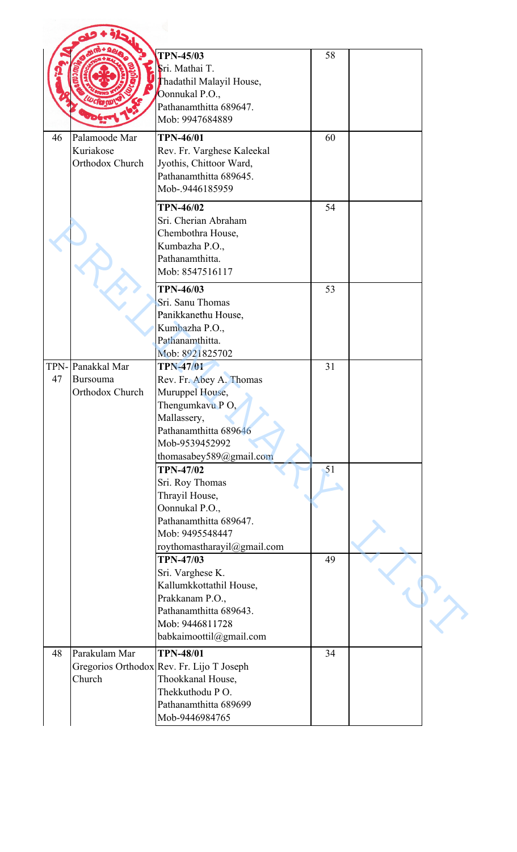|            |                                                    | <b>TPN-45/03</b><br>Sri. Mathai T.<br>Thadathil Malayil House,<br>Oonnukal P.O.,<br>Pathanamthitta 689647.<br>Mob: 9947684889                                          | 58 |  |
|------------|----------------------------------------------------|------------------------------------------------------------------------------------------------------------------------------------------------------------------------|----|--|
| 46         | Palamoode Mar<br>Kuriakose<br>Orthodox Church      | <b>TPN-46/01</b><br>Rev. Fr. Varghese Kaleekal<br>Jyothis, Chittoor Ward,<br>Pathanamthitta 689645.<br>Mob-.9446185959                                                 | 60 |  |
|            |                                                    | <b>TPN-46/02</b><br>Sri. Cherian Abraham<br>Chembothra House,<br>Kumbazha P.O.,<br>Pathanamthitta.<br>Mob: 8547516117                                                  | 54 |  |
|            |                                                    | <b>TPN-46/03</b><br>Sri. Sanu Thomas<br>Panikkanethu House,<br>Kumbazha P.O.,<br>Pathanamthitta.<br>Mob: 8921825702                                                    | 53 |  |
| TPN-<br>47 | Panakkal Mar<br><b>Bursouma</b><br>Orthodox Church | <b>TPN-47/01</b><br>Rev. Fr. Abey A. Thomas<br>Muruppel House,<br>Thengumkavu PO,<br>Mallassery,<br>Pathanamthitta 689646<br>Mob-9539452992<br>thomasabey589@gmail.com | 31 |  |
|            |                                                    | <b>TPN-47/02</b><br>Sri. Roy Thomas<br>Thrayil House,<br>Oonnukal P.O.,<br>Pathanamthitta 689647.<br>Mob: 9495548447<br>roythomastharayil@gmail.com                    | 51 |  |
|            |                                                    | <b>TPN-47/03</b><br>Sri. Varghese K.<br>Kallumkkottathil House,<br>Prakkanam P.O.,<br>Pathanamthitta 689643.<br>Mob: 9446811728<br>babkaimoottil@gmail.com             | 49 |  |
| 48         | Parakulam Mar<br>Church                            | <b>TPN-48/01</b><br>Gregorios Orthodox Rev. Fr. Lijo T Joseph<br>Thookkanal House,<br>Thekkuthodu PO.<br>Pathanamthitta 689699<br>Mob-9446984765                       | 34 |  |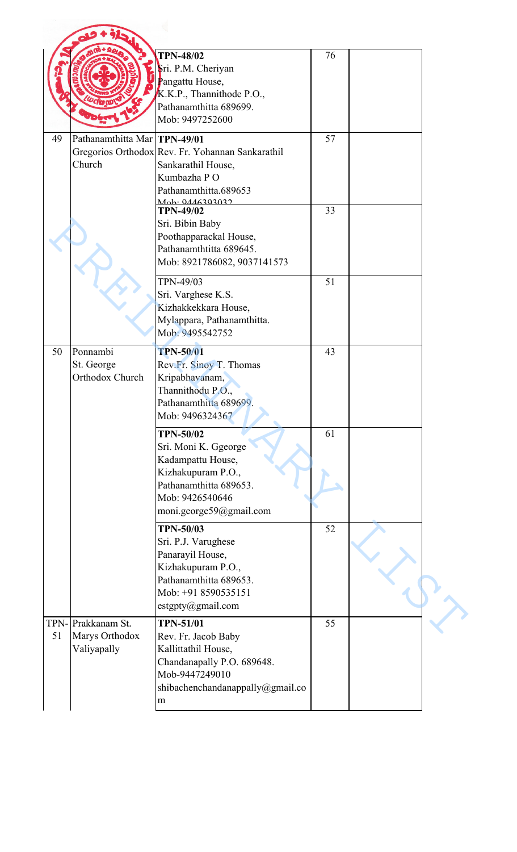|            |                                                | <b>TPN-48/02</b><br>Sri. P.M. Cheriyan<br>Pangattu House,<br>K.K.P., Thannithode P.O.,<br>Pathanamthitta 689699.<br>Mob: 9497252600                         | 76 |  |
|------------|------------------------------------------------|-------------------------------------------------------------------------------------------------------------------------------------------------------------|----|--|
| 49         | Pathanamthitta Mar TPN-49/01<br>Church         | Gregorios Orthodox Rev. Fr. Yohannan Sankarathil<br>Sankarathil House,<br>Kumbazha PO<br>Pathanamthitta.689653<br>Mah: 0116202022                           | 57 |  |
|            |                                                | <b>TPN-49/02</b><br>Sri. Bibin Baby<br>Poothapparackal House,<br>Pathanamthtitta 689645.<br>Mob: 8921786082, 9037141573                                     | 33 |  |
|            |                                                | TPN-49/03<br>Sri. Varghese K.S.<br>Kizhakkekkara House,<br>Mylappara, Pathanamthitta.<br>Mob: 9495542752                                                    | 51 |  |
| 50         | Ponnambi<br>St. George<br>Orthodox Church      | <b>TPN-50/01</b><br>Rev.Fr. Sinoy T. Thomas<br>Kripabhavanam,<br>Thannithodu P.O.,<br>Pathanamthitta 689699.<br>Mob: 9496324367                             | 43 |  |
|            |                                                | <b>TPN-50/02</b><br>Sri. Moni K. Ggeorge<br>Kadampattu House,<br>Kizhakupuram P.O.,<br>Pathanamthitta 689653.<br>Mob: 9426540646<br>moni.george59@gmail.com | 61 |  |
|            |                                                | <b>TPN-50/03</b><br>Sri. P.J. Varughese<br>Panarayil House,<br>Kizhakupuram P.O.,<br>Pathanamthitta 689653.<br>Mob: +91 8590535151<br>estgpty@gmail.com     | 52 |  |
| TPN-<br>51 | Prakkanam St.<br>Marys Orthodox<br>Valiyapally | <b>TPN-51/01</b><br>Rev. Fr. Jacob Baby<br>Kallittathil House,<br>Chandanapally P.O. 689648.<br>Mob-9447249010<br>shibachenchandanappally@gmail.co<br>m     | 55 |  |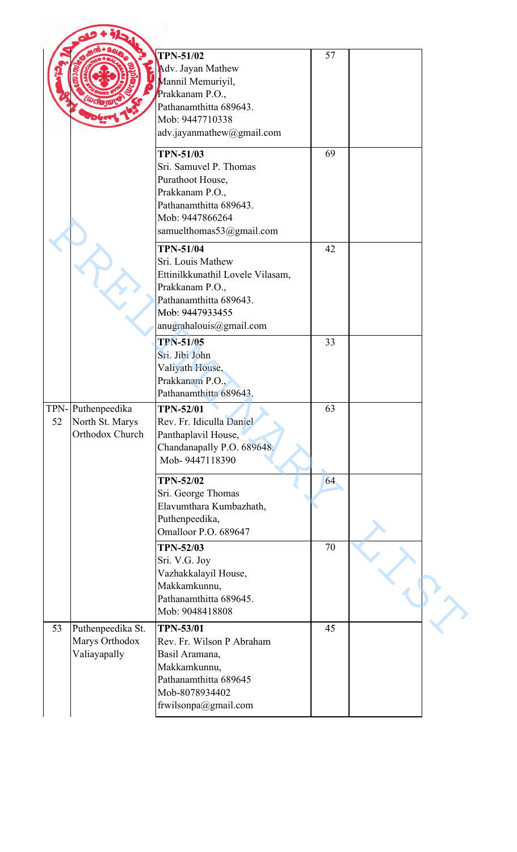|                                                               | <b>TPN-51/02</b><br>Adv. Jayan Mathew<br>Mannil Memuriyil,<br>Prakkanam P.O.,<br>Pathanamthitta 689643.<br>Mob: 9447710338<br>adv.jayanmathew@gmail.com              | 57 |  |
|---------------------------------------------------------------|----------------------------------------------------------------------------------------------------------------------------------------------------------------------|----|--|
|                                                               | <b>TPN-51/03</b><br>Sri. Samuvel P. Thomas<br>Purathoot House,<br>Prakkanam P.O.,<br>Pathanamthitta 689643.<br>Mob: 9447866264<br>samuelthomas53@gmail.com           | 69 |  |
|                                                               | <b>TPN-51/04</b><br>Sri. Louis Mathew<br>Ettinilkkunathil Lovele Vilasam,<br>Prakkanam P.O.,<br>Pathanamthitta 689643.<br>Mob: 9447933455<br>anugrahalouis@gmail.com | 42 |  |
|                                                               | <b>TPN-51/05</b><br>Sri. Jibi John<br>Valiyath House,<br>Prakkanam P.O.,<br>Pathanamthitta 689643.                                                                   | 33 |  |
| TPN-Puthenpeedika<br>52<br>North St. Marys<br>Orthodox Church | <b>TPN-52/01</b><br>Rev. Fr. Idiculla Daniel<br>Panthaplavil House,<br>Chandanapally P.O. 689648.<br>Mob-9447118390                                                  | 63 |  |
|                                                               | <b>TPN-52/02</b><br>Sri. George Thomas<br>Elavumthara Kumbazhath,<br>Puthenpeedika,<br>Omalloor P.O. 689647                                                          | 64 |  |
|                                                               | <b>TPN-52/03</b><br>Sri. V.G. Joy<br>Vazhakkalayil House,<br>Makkamkunnu,<br>Pathanamthitta 689645.<br>Mob: 9048418808                                               | 70 |  |
| 53<br>Puthenpeedika St.<br>Marys Orthodox<br>Valiayapally     | <b>TPN-53/01</b><br>Rev. Fr. Wilson P Abraham<br>Basil Aramana,<br>Makkamkunnu,<br>Pathanamthitta 689645<br>Mob-8078934402<br>frwilsonpa@gmail.com                   | 45 |  |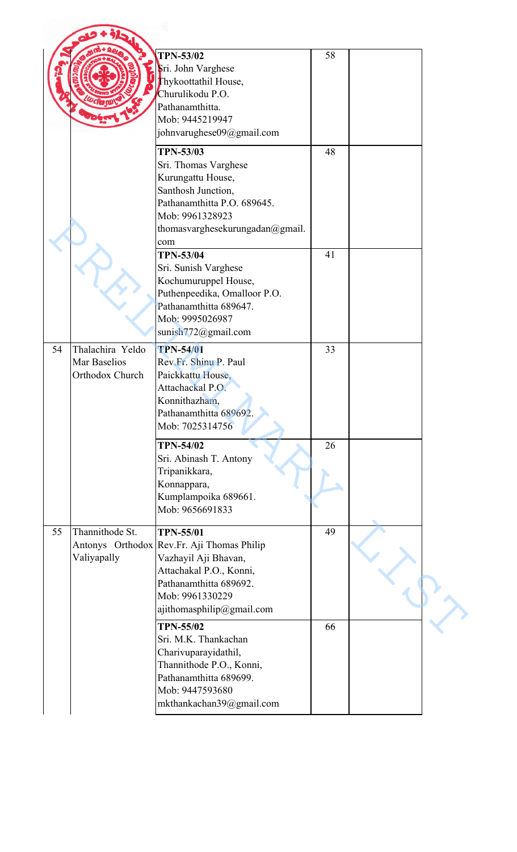|    |                                                     | <b>TPN-53/02</b><br>Sri. John Varghese<br>Thykoottathil House,<br>Churulikodu P.O.<br>Pathanamthitta.<br>Mob: 9445219947<br>johnvarughese09@gmail.com                                       | 58 |  |
|----|-----------------------------------------------------|---------------------------------------------------------------------------------------------------------------------------------------------------------------------------------------------|----|--|
|    |                                                     | <b>TPN-53/03</b><br>Sri. Thomas Varghese<br>Kurungattu House,<br>Santhosh Junction,<br>Pathanamthitta P.O. 689645.<br>Mob: 9961328923<br>thomasvarghesekurungadan@gmail.<br>com             | 48 |  |
|    |                                                     | <b>TPN-53/04</b><br>Sri. Sunish Varghese<br>Kochumuruppel House,<br>Puthenpeedika, Omalloor P.O.<br>Pathanamthitta 689647.<br>Mob: 9995026987<br>sunish772@gmail.com                        | 41 |  |
| 54 | Thalachira Yeldo<br>Mar Baselios<br>Orthodox Church | <b>TPN-54/01</b><br>Rev.Fr. Shinu P. Paul<br>Paickkattu House,<br>Attachackal P.O.<br>Konnithazham,<br>Pathanamthitta 689692.<br>Mob: 7025314756                                            | 33 |  |
|    |                                                     | <b>TPN-54/02</b><br>Sri. Abinash T. Antony<br>Tripanikkara,<br>Konnappara,<br>Kumplampoika 689661.<br>Mob: 9656691833                                                                       | 26 |  |
| 55 | Thannithode St.<br>Valiyapally                      | <b>TPN-55/01</b><br>Antonys Orthodox Rev.Fr. Aji Thomas Philip<br>Vazhayil Aji Bhavan,<br>Attachakal P.O., Konni,<br>Pathanamthitta 689692.<br>Mob: 9961330229<br>ajithomasphilip@gmail.com | 49 |  |
|    |                                                     | <b>TPN-55/02</b><br>Sri. M.K. Thankachan<br>Charivuparayidathil,<br>Thannithode P.O., Konni,<br>Pathanamthitta 689699.<br>Mob: 9447593680<br>mkthankachan39@gmail.com                       | 66 |  |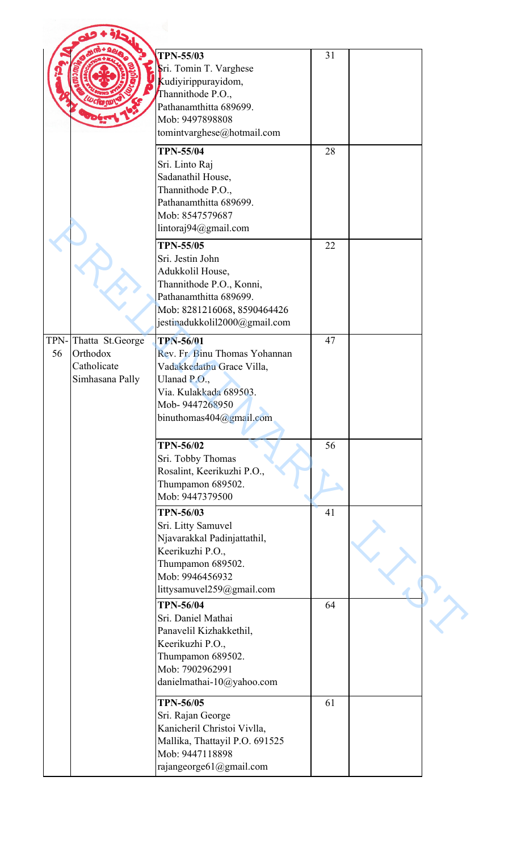|    |                                                                    | <b>TPN-55/03</b><br>Sri. Tomin T. Varghese<br>Kudiyirippurayidom,<br>Thannithode P.O.,<br>Pathanamthitta 689699.<br>Mob: 9497898808<br>tomintvarghese@hotmail.com              | 31 |  |
|----|--------------------------------------------------------------------|--------------------------------------------------------------------------------------------------------------------------------------------------------------------------------|----|--|
|    |                                                                    | <b>TPN-55/04</b><br>Sri. Linto Raj<br>Sadanathil House,<br>Thannithode P.O.,<br>Pathanamthitta 689699.<br>Mob: 8547579687<br>lintoraj94@gmail.com                              | 28 |  |
|    |                                                                    | <b>TPN-55/05</b><br>Sri. Jestin John<br>Adukkolil House,<br>Thannithode P.O., Konni,<br>Pathanamthitta 689699.<br>Mob: 8281216068, 8590464426<br>jestinadukkolil2000@gmail.com | 22 |  |
| 56 | TPN-Thatta St.George<br>Orthodox<br>Catholicate<br>Simhasana Pally | <b>TPN-56/01</b><br>Rev. Fr. Binu Thomas Yohannan<br>Vadakkedathu Grace Villa,<br>Ulanad P.O.,<br>Via. Kulakkada 689503.<br>Mob-9447268950<br>binuthomas404@gmail.com          | 47 |  |
|    |                                                                    | <b>TPN-56/02</b><br>Sri. Tobby Thomas<br>Rosalint, Keerikuzhi P.O.,<br>Thumpamon 689502.<br>Mob: 9447379500                                                                    | 56 |  |
|    |                                                                    | <b>TPN-56/03</b><br>Sri. Litty Samuvel<br>Njavarakkal Padinjattathil,<br>Keerikuzhi P.O.,<br>Thumpamon 689502.<br>Mob: 9946456932<br>littysamuvel259@gmail.com                 | 41 |  |
|    |                                                                    | <b>TPN-56/04</b><br>Sri. Daniel Mathai<br>Panavelil Kizhakkethil,<br>Keerikuzhi P.O.,<br>Thumpamon 689502.<br>Mob: 7902962991<br>danielmathai-10@yahoo.com                     | 64 |  |
|    |                                                                    | <b>TPN-56/05</b><br>Sri. Rajan George<br>Kanicheril Christoi Vivlla,<br>Mallika, Thattayil P.O. 691525<br>Mob: 9447118898<br>rajangeorge61@gmail.com                           | 61 |  |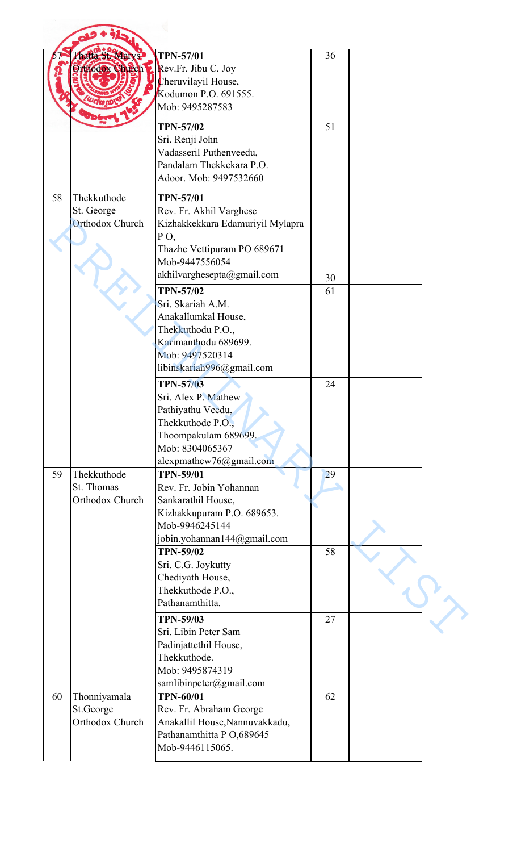|    | haita-St. Marys                                     | <b>TPN-57/01</b><br>Orthodox Church 2 Rev.Fr. Jibu C. Joy<br>Cheruvilayil House,<br>Kodumon P.O. 691555.<br>Mob: 9495287583                                                                                    | 36       |  |
|----|-----------------------------------------------------|----------------------------------------------------------------------------------------------------------------------------------------------------------------------------------------------------------------|----------|--|
|    |                                                     | <b>TPN-57/02</b><br>Sri. Renji John<br>Vadasseril Puthenveedu,<br>Pandalam Thekkekara P.O.<br>Adoor. Mob: 9497532660                                                                                           | 51       |  |
| 58 | Thekkuthode<br>St. George<br><b>Orthodox Church</b> | <b>TPN-57/01</b><br>Rev. Fr. Akhil Varghese<br>Kizhakkekkara Edamuriyil Mylapra<br>PO,<br>Thazhe Vettipuram PO 689671<br>Mob-9447556054                                                                        |          |  |
|    |                                                     | akhilvarghesepta@gmail.com                                                                                                                                                                                     | 30       |  |
|    |                                                     | <b>TPN-57/02</b><br>Sri. Skariah A.M.<br>Anakallumkal House,<br>Thekkuthodu P.O.,<br>Karimanthodu 689699.<br>Mob: 9497520314<br>libinskariah996@gmail.com                                                      | 61       |  |
|    |                                                     | <b>TPN-57/03</b><br>Sri. Alex P. Mathew<br>Pathiyathu Veedu,<br>Thekkuthode P.O.,<br>Thoompakulam 689699.<br>Mob: 8304065367<br>alexpmathew76@gmail.com                                                        | 24       |  |
| 59 | Thekkuthode<br>St. Thomas<br>Orthodox Church        | <b>TPN-59/01</b><br>Rev. Fr. Jobin Yohannan<br>Sankarathil House,<br>Kizhakkupuram P.O. 689653.<br>Mob-9946245144<br>jobin.yohannan144@gmail.com<br><b>TPN-59/02</b><br>Sri. C.G. Joykutty<br>Chediyath House, | 29<br>58 |  |
|    |                                                     | Thekkuthode P.O.,<br>Pathanamthitta.<br><b>TPN-59/03</b>                                                                                                                                                       | 27       |  |
|    |                                                     | Sri. Libin Peter Sam<br>Padinjattethil House,<br>Thekkuthode.<br>Mob: 9495874319<br>samlibinpeter@gmail.com                                                                                                    |          |  |
| 60 | Thonniyamala<br>St.George<br>Orthodox Church        | <b>TPN-60/01</b><br>Rev. Fr. Abraham George<br>Anakallil House, Nannuvakkadu,<br>Pathanamthitta P O,689645<br>Mob-9446115065.                                                                                  | 62       |  |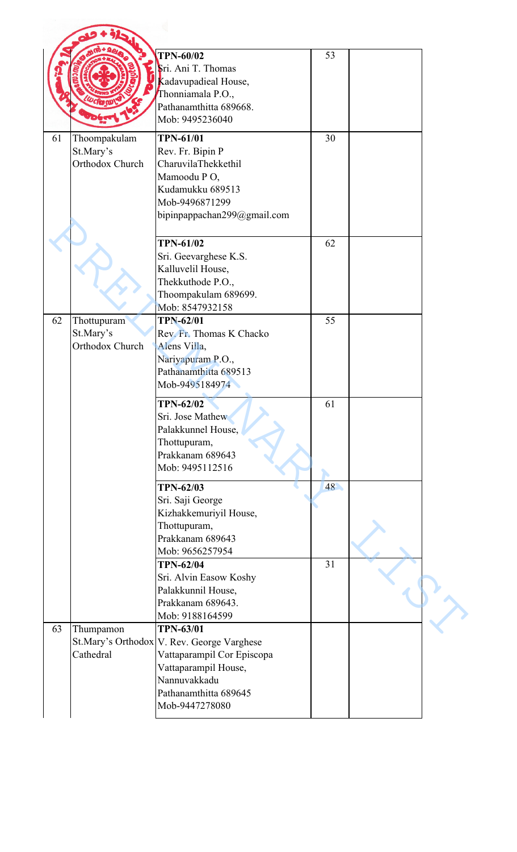|    |                                              | <b>TPN-60/02</b><br>Sri. Ani T. Thomas<br>Kadavupadieal House,<br>Thonniamala P.O.,<br>Pathanamthitta 689668.<br>Mob: 9495236040                                                | 53       |  |
|----|----------------------------------------------|---------------------------------------------------------------------------------------------------------------------------------------------------------------------------------|----------|--|
| 61 | Thoompakulam<br>St.Mary's<br>Orthodox Church | <b>TPN-61/01</b><br>Rev. Fr. Bipin P<br>CharuvilaThekkethil<br>Mamoodu PO,<br>Kudamukku 689513<br>Mob-9496871299<br>bipinpappachan299@gmail.com                                 | 30       |  |
|    |                                              | <b>TPN-61/02</b><br>Sri. Geevarghese K.S.<br>Kalluvelil House,<br>Thekkuthode P.O.,<br>Thoompakulam 689699.<br>Mob: 8547932158                                                  | 62       |  |
| 62 | Thottupuram<br>St.Mary's<br>Orthodox Church  | <b>TPN-62/01</b><br>Rev. Fr. Thomas K Chacko<br>Alens Villa,<br>Nariyapuram P.O.,<br>Pathanamthitta 689513<br>Mob-9495184974                                                    | 55       |  |
|    |                                              | <b>TPN-62/02</b><br>Sri. Jose Mathew<br>Palakkunnel House,<br>Thottupuram,<br>Prakkanam 689643<br>Mob: 9495112516                                                               | 61       |  |
|    |                                              | <b>TPN-62/03</b><br>Sri. Saji George<br>Kizhakkemuriyil House,<br>Thottupuram,<br>Prakkanam 689643<br>Mob: 9656257954<br><b>TPN-62/04</b>                                       | 48<br>31 |  |
|    |                                              | Sri. Alvin Easow Koshy<br>Palakkunnil House,<br>Prakkanam 689643.<br>Mob: 9188164599                                                                                            |          |  |
| 63 | Thumpamon<br>Cathedral                       | <b>TPN-63/01</b><br>St.Mary's Orthodox V. Rev. George Varghese<br>Vattaparampil Cor Episcopa<br>Vattaparampil House,<br>Nannuvakkadu<br>Pathanamthitta 689645<br>Mob-9447278080 |          |  |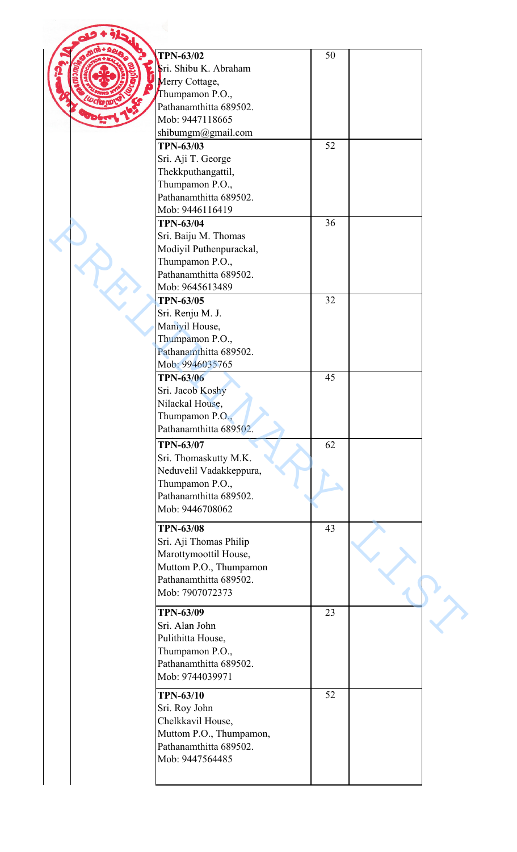| <b>TPN-63/02</b>                          | 50 |  |
|-------------------------------------------|----|--|
| Sri. Shibu K. Abraham                     |    |  |
| Merry Cottage,                            |    |  |
| Thumpamon P.O.,                           |    |  |
| Pathanamthitta 689502.                    |    |  |
| Mob: 9447118665                           |    |  |
|                                           |    |  |
| shibumgm@gmail.com                        |    |  |
| <b>TPN-63/03</b>                          | 52 |  |
| Sri. Aji T. George                        |    |  |
| Thekkputhangattil,                        |    |  |
| Thumpamon P.O.,                           |    |  |
| Pathanamthitta 689502.                    |    |  |
| Mob: 9446116419                           |    |  |
| <b>TPN-63/04</b>                          | 36 |  |
|                                           |    |  |
| Sri. Baiju M. Thomas                      |    |  |
| Modiyil Puthenpurackal,                   |    |  |
| Thumpamon P.O.,                           |    |  |
| Pathanamthitta 689502.                    |    |  |
| Mob: 9645613489                           |    |  |
| <b>TPN-63/05</b>                          | 32 |  |
| Sri. Renju M. J.                          |    |  |
|                                           |    |  |
| Maniyil House,                            |    |  |
| Thumpamon P.O.,                           |    |  |
| Pathanamthitta 689502.                    |    |  |
| Mob: 9946035765                           |    |  |
| <b>TPN-63/06</b>                          | 45 |  |
| Sri. Jacob Koshy                          |    |  |
| Nilackal House,                           |    |  |
| Thumpamon P.O.,                           |    |  |
|                                           |    |  |
| Pathanamthitta 689502.                    |    |  |
| <b>TPN-63/07</b>                          | 62 |  |
| Sri. Thomaskutty M.K.                     |    |  |
| Neduvelil Vadakkeppura,                   |    |  |
| Thumpamon P.O.,                           |    |  |
| Pathanamthitta 689502.                    |    |  |
| Mob: 9446708062                           |    |  |
|                                           |    |  |
| <b>TPN-63/08</b>                          | 43 |  |
| Sri. Aji Thomas Philip                    |    |  |
| Marottymoottil House,                     |    |  |
|                                           |    |  |
| Muttom P.O., Thumpamon                    |    |  |
| Pathanamthitta 689502.                    |    |  |
| Mob: 7907072373                           |    |  |
|                                           |    |  |
| <b>TPN-63/09</b>                          | 23 |  |
| Sri. Alan John                            |    |  |
| Pulithitta House,                         |    |  |
| Thumpamon P.O.,                           |    |  |
| Pathanamthitta 689502.                    |    |  |
| Mob: 9744039971                           |    |  |
|                                           |    |  |
| <b>TPN-63/10</b>                          | 52 |  |
| Sri. Roy John                             |    |  |
| Chelkkavil House,                         |    |  |
|                                           |    |  |
|                                           |    |  |
| Muttom P.O., Thumpamon,                   |    |  |
| Pathanamthitta 689502.<br>Mob: 9447564485 |    |  |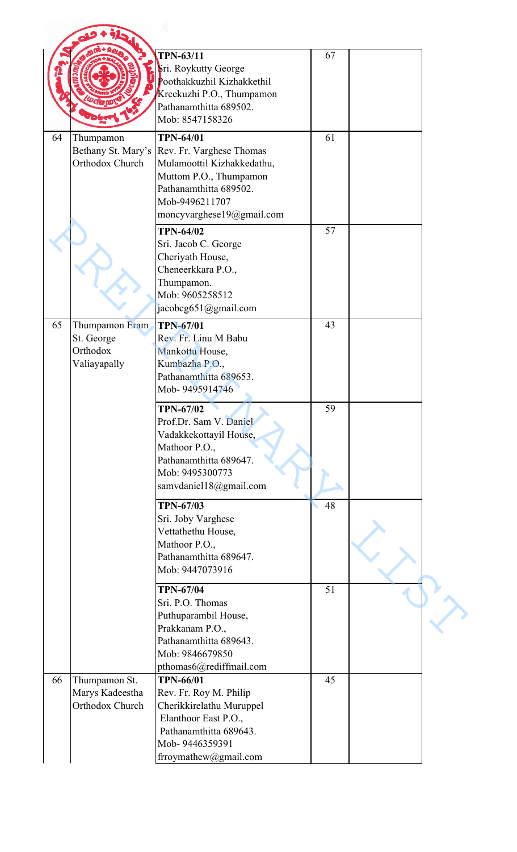|    |                                                     | <b>TPN-63/11</b><br>Sri. Roykutty George<br>Poothakkuzhil Kizhakkethil<br>Kreekuzhi P.O., Thumpamon<br>Pathanamthitta 689502.<br>Mob: 8547158326                    | 67 |  |
|----|-----------------------------------------------------|---------------------------------------------------------------------------------------------------------------------------------------------------------------------|----|--|
| 64 | Thumpamon                                           | <b>TPN-64/01</b>                                                                                                                                                    | 61 |  |
|    | Bethany St. Mary's<br>Orthodox Church               | Rev. Fr. Varghese Thomas<br>Mulamoottil Kizhakkedathu,<br>Muttom P.O., Thumpamon<br>Pathanamthitta 689502.<br>Mob-9496211707<br>moncyvarghese19@gmail.com           |    |  |
|    |                                                     | <b>TPN-64/02</b><br>Sri. Jacob C. George<br>Cheriyath House,<br>Cheneerkkara P.O.,<br>Thumpamon.<br>Mob: 9605258512<br>jacobcg651@gmail.com                         | 57 |  |
| 65 | Thumpamon Eram                                      | <b>TPN-67/01</b>                                                                                                                                                    | 43 |  |
|    | St. George<br>Orthodox<br>Valiayapally              | Rev. Fr. Linu M Babu<br>Mankottu House,<br>Kumbazha P.O.,<br>Pathanamthitta 689653.<br>Mob-9495914746                                                               |    |  |
|    |                                                     | <b>TPN-67/02</b><br>Prof.Dr. Sam V. Daniel<br>Vadakkekottayil House,<br>Mathoor P.O.,<br>Pathanamthitta 689647.<br>Mob: 9495300773<br>samvdaniel18@gmail.com        | 59 |  |
|    |                                                     | <b>TPN-67/03</b><br>Sri. Joby Varghese<br>Vettathethu House,<br>Mathoor P.O.,<br>Pathanamthitta 689647.<br>Mob: 9447073916                                          | 48 |  |
|    |                                                     | <b>TPN-67/04</b><br>Sri. P.O. Thomas<br>Puthuparambil House,<br>Prakkanam P.O.,<br>Pathanamthitta 689643.<br>Mob: 9846679850<br>pthomas6@rediffmail.com             | 51 |  |
| 66 | Thumpamon St.<br>Marys Kadeestha<br>Orthodox Church | <b>TPN-66/01</b><br>Rev. Fr. Roy M. Philip<br>Cherikkirelathu Muruppel<br>Elanthoor East P.O.,<br>Pathanamthitta 689643.<br>Mob-9446359391<br>frroymathew@gmail.com | 45 |  |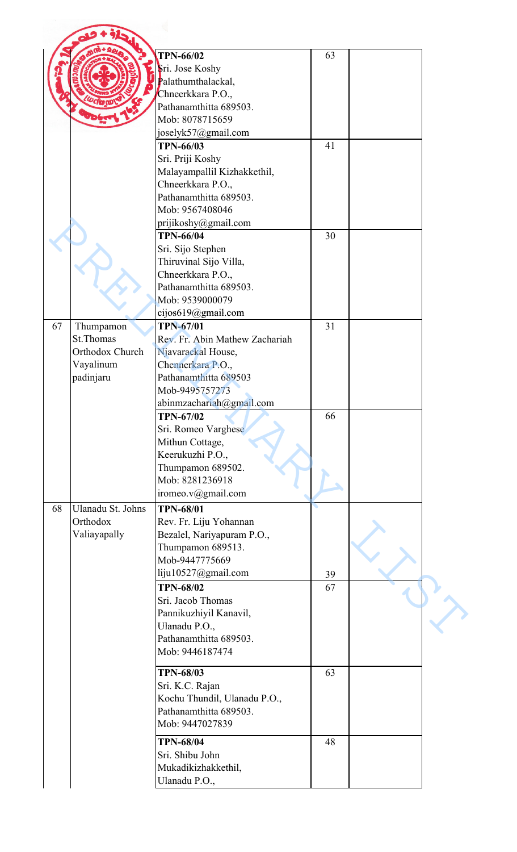|                         | <b>TPN-66/02</b>               | 63 |  |
|-------------------------|--------------------------------|----|--|
|                         | Sri. Jose Koshy                |    |  |
|                         |                                |    |  |
|                         | Palathumthalackal,             |    |  |
|                         | Chneerkkara P.O.,              |    |  |
|                         | Pathanamthitta 689503.         |    |  |
|                         | Mob: 8078715659                |    |  |
|                         | joselyk57@gmail.com            |    |  |
|                         | <b>TPN-66/03</b>               | 41 |  |
|                         | Sri. Priji Koshy               |    |  |
|                         | Malayampallil Kizhakkethil,    |    |  |
|                         | Chneerkkara P.O.,              |    |  |
|                         | Pathanamthitta 689503.         |    |  |
|                         | Mob: 9567408046                |    |  |
|                         | prijikoshy@gmail.com           |    |  |
|                         | <b>TPN-66/04</b>               | 30 |  |
|                         |                                |    |  |
|                         | Sri. Sijo Stephen              |    |  |
|                         | Thiruvinal Sijo Villa,         |    |  |
|                         | Chneerkkara P.O.,              |    |  |
|                         | Pathanamthitta 689503.         |    |  |
|                         | Mob: 9539000079                |    |  |
|                         | cijos $619$ @gmail.com         |    |  |
| Thumpamon               | <b>TPN-67/01</b>               | 31 |  |
| St.Thomas               | Rev. Fr. Abin Mathew Zachariah |    |  |
| Orthodox Church         | Njavarackal House,             |    |  |
| Vayalinum               | Chennerkara P.O.,              |    |  |
| padinjaru               | Pathanamthitta 689503          |    |  |
|                         | Mob-9495757273                 |    |  |
|                         | abinmzachariah@gmail.com       |    |  |
|                         | <b>TPN-67/02</b>               | 66 |  |
|                         |                                |    |  |
|                         | Sri. Romeo Varghese            |    |  |
|                         | Mithun Cottage,                |    |  |
|                         | Keerukuzhi P.O.,               |    |  |
|                         | Thumpamon 689502.              |    |  |
|                         | Mob: 8281236918                |    |  |
|                         | iromeo.v@gmail.com             |    |  |
| 68<br>Ulanadu St. Johns | <b>TPN-68/01</b>               |    |  |
| Orthodox                | Rev. Fr. Liju Yohannan         |    |  |
| Valiayapally            | Bezalel, Nariyapuram P.O.,     |    |  |
|                         | Thumpamon 689513.              |    |  |
|                         | Mob-9447775669                 |    |  |
|                         | liju10527@gmail.com            |    |  |
|                         |                                | 39 |  |
|                         | <b>TPN-68/02</b>               | 67 |  |
|                         | Sri. Jacob Thomas              |    |  |
|                         | Pannikuzhiyil Kanavil,         |    |  |
|                         | Ulanadu P.O.,                  |    |  |
|                         | Pathanamthitta 689503.         |    |  |
|                         | Mob: 9446187474                |    |  |
|                         |                                |    |  |
|                         | <b>TPN-68/03</b>               | 63 |  |
|                         | Sri. K.C. Rajan                |    |  |
|                         | Kochu Thundil, Ulanadu P.O.,   |    |  |
|                         | Pathanamthitta 689503.         |    |  |
|                         | Mob: 9447027839                |    |  |
|                         | <b>TPN-68/04</b>               | 48 |  |
|                         | Sri. Shibu John                |    |  |
|                         |                                |    |  |
|                         | Mukadikizhakkethil,            |    |  |
|                         | Ulanadu P.O.,                  |    |  |
|                         |                                |    |  |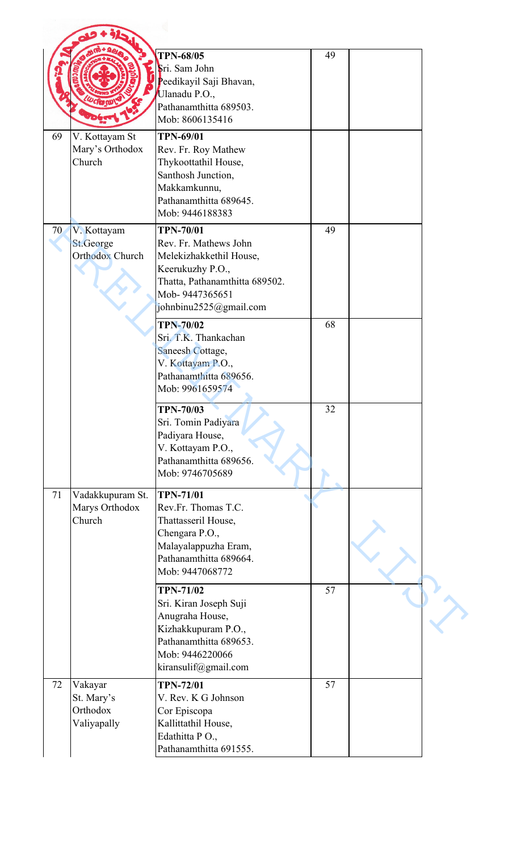|    |                                                    | <b>TPN-68/05</b><br>Sri. Sam John<br>Peedikayil Saji Bhavan,<br>Ulanadu P.O.,<br>Pathanamthitta 689503.<br>Mob: 8606135416                                             | 49 |  |
|----|----------------------------------------------------|------------------------------------------------------------------------------------------------------------------------------------------------------------------------|----|--|
| 69 | V. Kottayam St<br>Mary's Orthodox<br>Church        | <b>TPN-69/01</b><br>Rev. Fr. Roy Mathew<br>Thykoottathil House,<br>Santhosh Junction,<br>Makkamkunnu,<br>Pathanamthitta 689645.<br>Mob: 9446188383                     |    |  |
| 70 | V. Kottayam<br>St.George<br><b>Orthodox Church</b> | <b>TPN-70/01</b><br>Rev. Fr. Mathews John<br>Melekizhakkethil House,<br>Keerukuzhy P.O.,<br>Thatta, Pathanamthitta 689502.<br>Mob-9447365651<br>johnbinu2525@gmail.com | 49 |  |
|    |                                                    | <b>TPN-70/02</b><br>Sri. T.K. Thankachan<br>Saneesh Cottage,<br>V. Kottayam P.O.,<br>Pathanamthitta 689656.<br>Mob: 9961659574                                         | 68 |  |
|    |                                                    | <b>TPN-70/03</b><br>Sri. Tomin Padiyara<br>Padiyara House,<br>V. Kottayam P.O.,<br>Pathanamthitta 689656.<br>Mob: 9746705689                                           | 32 |  |
| 71 | Vadakkupuram St.<br>Marys Orthodox<br>Church       | <b>TPN-71/01</b><br>Rev.Fr. Thomas T.C.<br>Thattasseril House,<br>Chengara P.O.,<br>Malayalappuzha Eram,<br>Pathanamthitta 689664.<br>Mob: 9447068772                  |    |  |
|    |                                                    | <b>TPN-71/02</b><br>Sri. Kiran Joseph Suji<br>Anugraha House,<br>Kizhakkupuram P.O.,<br>Pathanamthitta 689653.<br>Mob: 9446220066<br>kiransulif@gmail.com              | 57 |  |
| 72 | Vakayar<br>St. Mary's<br>Orthodox<br>Valiyapally   | <b>TPN-72/01</b><br>V. Rev. K G Johnson<br>Cor Episcopa<br>Kallittathil House,<br>Edathitta PO.,<br>Pathanamthitta 691555.                                             | 57 |  |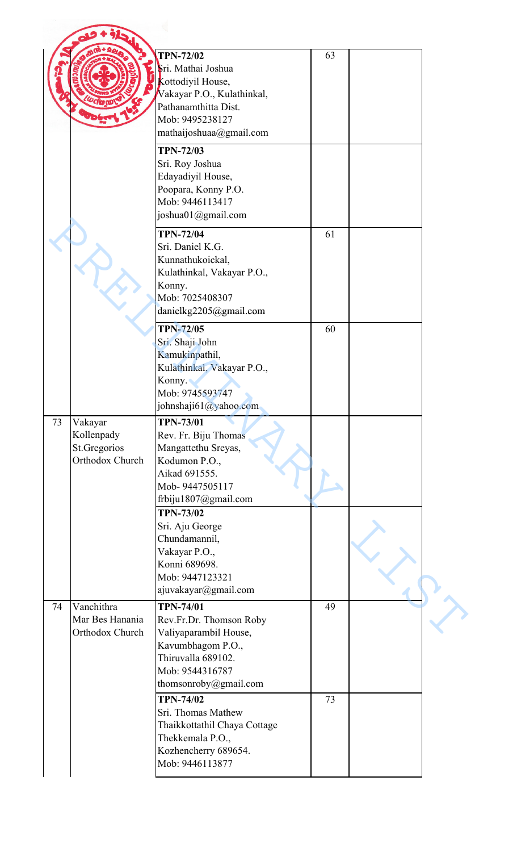|    |                                                          | <b>TPN-72/02</b><br>Sri. Mathai Joshua<br>Kottodiyil House,<br>Vakayar P.O., Kulathinkal,<br>Pathanamthitta Dist.<br>Mob: 9495238127<br>mathaijoshuaa@gmail.com | 63 |  |
|----|----------------------------------------------------------|-----------------------------------------------------------------------------------------------------------------------------------------------------------------|----|--|
|    |                                                          | <b>TPN-72/03</b><br>Sri. Roy Joshua<br>Edayadiyil House,<br>Poopara, Konny P.O.<br>Mob: 9446113417<br>joshua01@gmail.com                                        |    |  |
|    |                                                          | <b>TPN-72/04</b><br>Sri. Daniel K.G.<br>Kunnathukoickal,<br>Kulathinkal, Vakayar P.O.,<br>Konny.<br>Mob: 7025408307<br>danielkg2205@gmail.com                   | 61 |  |
|    |                                                          | <b>TPN-72/05</b><br>Sri. Shaji John<br>Kamukinpathil,<br>Kulathinkal, Vakayar P.O.,<br>Konny.<br>Mob: 9745593747<br>johnshaji61@yahoo.com                       | 60 |  |
| 73 | Vakayar<br>Kollenpady<br>St.Gregorios<br>Orthodox Church | <b>TPN-73/01</b><br>Rev. Fr. Biju Thomas<br>Mangattethu Sreyas,<br>Kodumon P.O.,<br>Aikad 691555.<br>Mob-9447505117<br>frbiju1807@gmail.com                     |    |  |
|    |                                                          | <b>TPN-73/02</b><br>Sri. Aju George<br>Chundamannil,<br>Vakayar P.O.,<br>Konni 689698.<br>Mob: 9447123321<br>ajuvakayar@gmail.com                               |    |  |
| 74 | Vanchithra<br>Mar Bes Hanania<br>Orthodox Church         | <b>TPN-74/01</b><br>Rev.Fr.Dr. Thomson Roby<br>Valiyaparambil House,<br>Kavumbhagom P.O.,<br>Thiruvalla 689102.<br>Mob: 9544316787<br>thomsonroby@gmail.com     | 49 |  |
|    |                                                          | <b>TPN-74/02</b><br>Sri. Thomas Mathew<br>Thaikkottathil Chaya Cottage<br>Thekkemala P.O.,<br>Kozhencherry 689654.<br>Mob: 9446113877                           | 73 |  |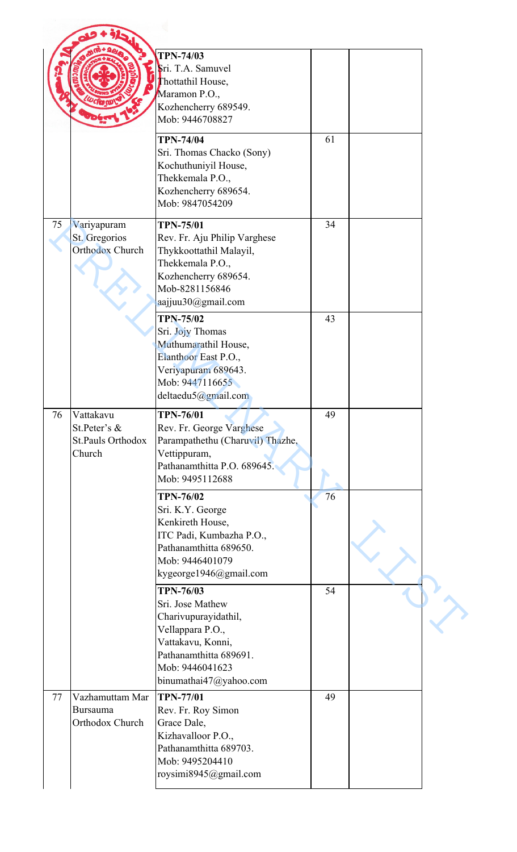|    |                                                          | <b>TPN-74/03</b><br>Sri. T.A. Samuvel<br>Thottathil House,<br>Maramon P.O.,<br>Kozhencherry 689549.<br>Mob: 9446708827                                          |    |  |
|----|----------------------------------------------------------|-----------------------------------------------------------------------------------------------------------------------------------------------------------------|----|--|
|    |                                                          | <b>TPN-74/04</b><br>Sri. Thomas Chacko (Sony)<br>Kochuthuniyil House,<br>Thekkemala P.O.,<br>Kozhencherry 689654.<br>Mob: 9847054209                            | 61 |  |
| 75 | Variyapuram<br>St. Gregorios<br><b>Orthodox Church</b>   | <b>TPN-75/01</b><br>Rev. Fr. Aju Philip Varghese<br>Thykkoottathil Malayil,<br>Thekkemala P.O.,<br>Kozhencherry 689654.<br>Mob-8281156846<br>aajjuu30@gmail.com | 34 |  |
|    |                                                          | <b>TPN-75/02</b><br>Sri. Jojy Thomas<br>Muthumarathil House,<br>Elanthoor East P.O.,<br>Veriyapuram 689643.<br>Mob: 9447116655<br>deltaedu5@gmail.com           | 43 |  |
| 76 | Vattakavu<br>St.Peter's &<br>St.Pauls Orthodox<br>Church | <b>TPN-76/01</b><br>Rev. Fr. George Varghese<br>Parampathethu (Charuvil) Thazhe,<br>Vettippuram,<br>Pathanamthitta P.O. 689645.<br>Mob: 9495112688              | 49 |  |
|    |                                                          | <b>TPN-76/02</b><br>Sri. K.Y. George<br>Kenkireth House,<br>ITC Padi, Kumbazha P.O.,<br>Pathanamthitta 689650.<br>Mob: 9446401079<br>kygeorge1946@gmail.com     | 76 |  |
|    |                                                          | <b>TPN-76/03</b><br>Sri. Jose Mathew<br>Charivupurayidathil,<br>Vellappara P.O.,<br>Vattakavu, Konni,<br>Pathanamthitta 689691.                                 | 54 |  |
|    |                                                          | Mob: 9446041623<br>binumathai47@yahoo.com                                                                                                                       |    |  |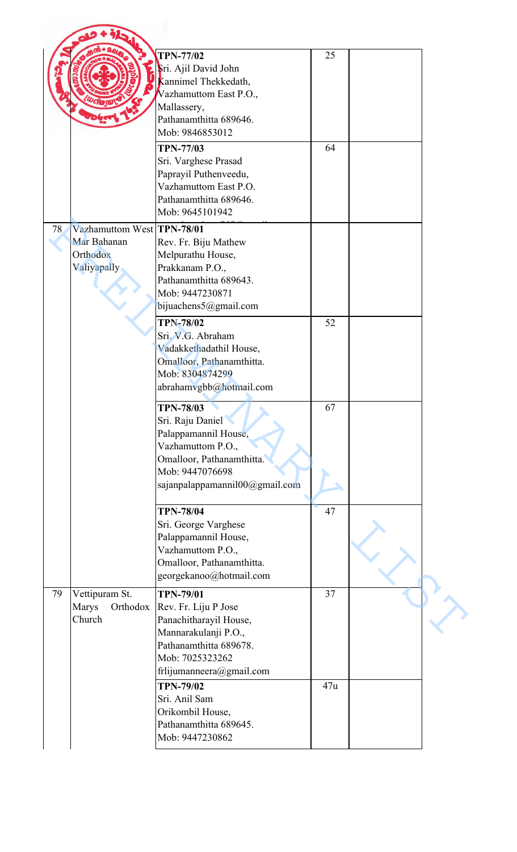|    |                                                                      | <b>TPN-77/02</b><br>Sri. Ajil David John<br>Kannimel Thekkedath,<br>Vazhamuttom East P.O.,<br>Mallassery,<br>Pathanamthitta 689646.<br>Mob: 9846853012                                                                                                 | 25  |  |
|----|----------------------------------------------------------------------|--------------------------------------------------------------------------------------------------------------------------------------------------------------------------------------------------------------------------------------------------------|-----|--|
|    |                                                                      | <b>TPN-77/03</b><br>Sri. Varghese Prasad<br>Paprayil Puthenveedu,<br>Vazhamuttom East P.O.<br>Pathanamthitta 689646.<br>Mob: 9645101942                                                                                                                | 64  |  |
| 78 | Vazhamuttom West TPN-78/01<br>Mar Bahanan<br>Orthodox<br>Valiyapally | Rev. Fr. Biju Mathew<br>Melpurathu House,<br>Prakkanam P.O.,<br>Pathanamthitta 689643.<br>Mob: 9447230871<br>bijuachens5@gmail.com<br><b>TPN-78/02</b><br>Sri. V.G. Abraham<br>Vadakkethadathil House,<br>Omalloor, Pathanamthitta.<br>Mob: 8304874299 | 52  |  |
|    |                                                                      | abrahamvgbb@hotmail.com<br><b>TPN-78/03</b><br>Sri. Raju Daniel<br>Palappamannil House,<br>Vazhamuttom P.O.,<br>Omalloor, Pathanamthitta.<br>Mob: 9447076698<br>sajanpalappamannil00@gmail.com                                                         | 67  |  |
|    |                                                                      | <b>TPN-78/04</b><br>Sri. George Varghese<br>Palappamannil House,<br>Vazhamuttom P.O.,<br>Omalloor, Pathanamthitta.<br>georgekanoo@hotmail.com                                                                                                          | 47  |  |
| 79 | Vettipuram St.<br>Marys<br>Orthodox<br>Church                        | <b>TPN-79/01</b><br>Rev. Fr. Liju P Jose<br>Panachitharayil House,<br>Mannarakulanji P.O.,<br>Pathanamthitta 689678.<br>Mob: 7025323262<br>frlijumanneera@gmail.com                                                                                    | 37  |  |
|    |                                                                      | <b>TPN-79/02</b><br>Sri. Anil Sam<br>Orikombil House,<br>Pathanamthitta 689645.<br>Mob: 9447230862                                                                                                                                                     | 47u |  |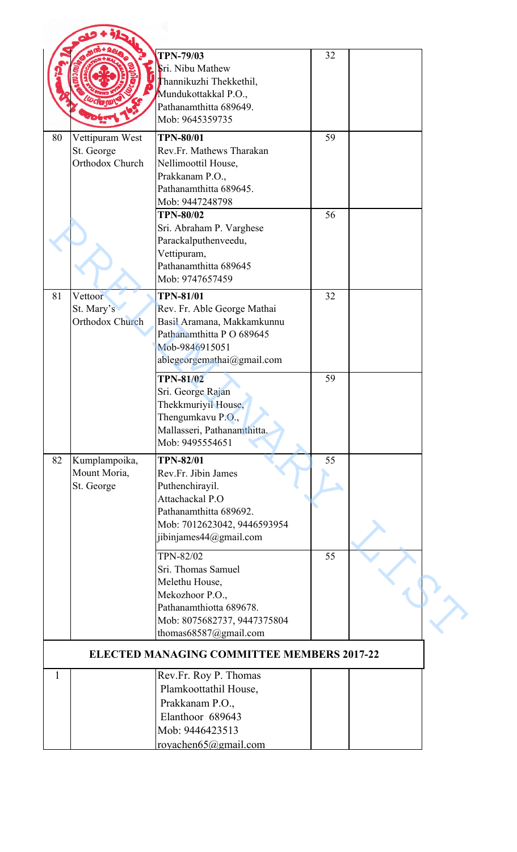|              |                                                  | <b>TPN-79/03</b><br>Sri. Nibu Mathew<br>Thannikuzhi Thekkethil,<br>Mundukottakkal P.O.,<br>Pathanamthitta 689649.                                                | 32 |  |
|--------------|--------------------------------------------------|------------------------------------------------------------------------------------------------------------------------------------------------------------------|----|--|
|              |                                                  | Mob: 9645359735                                                                                                                                                  |    |  |
| 80           | Vettipuram West<br>St. George<br>Orthodox Church | <b>TPN-80/01</b><br>Rev.Fr. Mathews Tharakan<br>Nellimoottil House,<br>Prakkanam P.O.,<br>Pathanamthitta 689645.<br>Mob: 9447248798                              | 59 |  |
|              |                                                  | <b>TPN-80/02</b><br>Sri. Abraham P. Varghese<br>Parackalputhenveedu,<br>Vettipuram,<br>Pathanamthitta 689645<br>Mob: 9747657459                                  | 56 |  |
| 81           | Vettoor<br>St. Mary's<br>Orthodox Church         | <b>TPN-81/01</b><br>Rev. Fr. Able George Mathai<br>Basil Aramana, Makkamkunnu<br>Pathanamthitta PO 689645<br>Mob-9846915051<br>ablegeorgemathai@gmail.com        | 32 |  |
|              |                                                  | <b>TPN-81/02</b><br>Sri. George Rajan<br>Thekkmuriyil House,<br>Thengumkavu P.O.,<br>Mallasseri, Pathanamthitta.<br>Mob: 9495554651                              | 59 |  |
| 82           | Kumplampoika,<br>Mount Moria,<br>St. George      | <b>TPN-82/01</b><br>Rev.Fr. Jibin James<br>Puthenchirayil.<br>Attachackal P.O<br>Pathanamthitta 689692.<br>Mob: 7012623042, 9446593954<br>jibinjames44@gmail.com | 55 |  |
|              |                                                  | <b>TPN-82/02</b><br>Sri. Thomas Samuel<br>Melethu House,<br>Mekozhoor P.O.,<br>Pathanamthiotta 689678.<br>Mob: 8075682737, 9447375804<br>thomas68587@gmail.com   | 55 |  |
|              |                                                  | <b>ELECTED MANAGING COMMITTEE MEMBERS 2017-22</b>                                                                                                                |    |  |
| $\mathbf{1}$ |                                                  | Rev.Fr. Roy P. Thomas<br>Plamkoottathil House,<br>Prakkanam P.O.,<br>Elanthoor 689643<br>Mob: 9446423513<br>royachen65@gmail.com                                 |    |  |